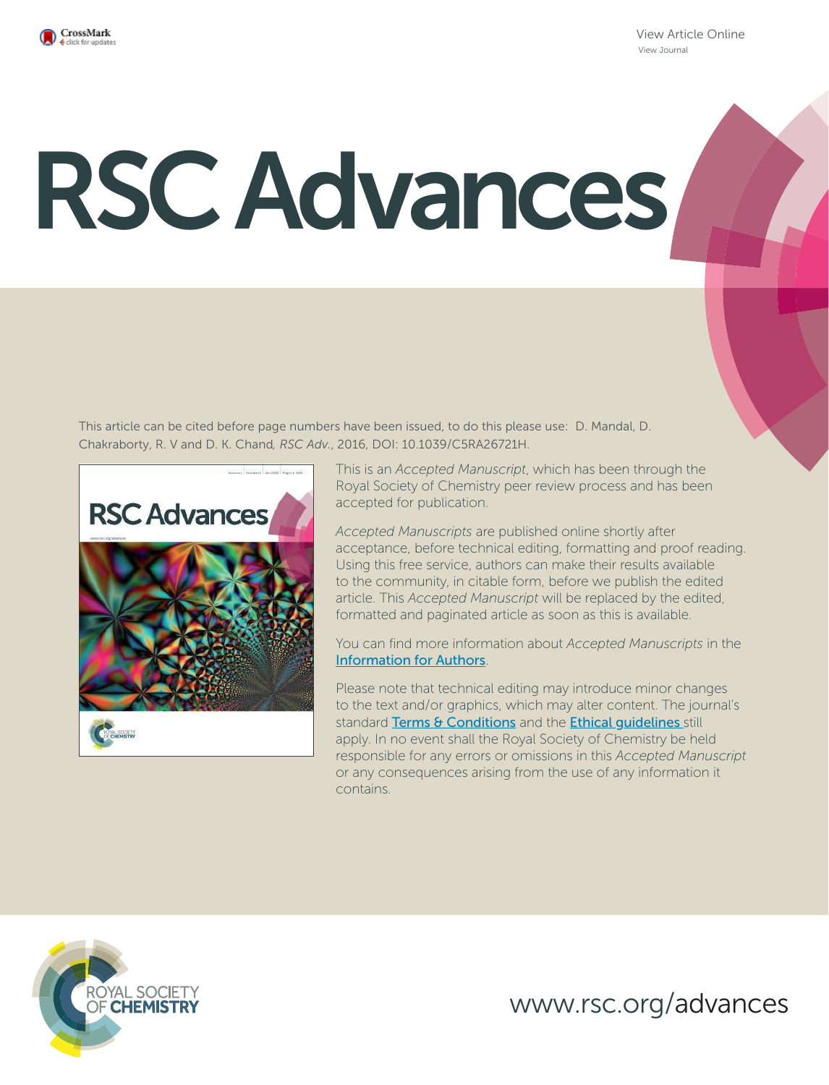

View Article Online View Journal

# RSC Advances

This article can be cited before page numbers have been issued, to do this please use: D. Mandal, D. Chakraborty, R. V and D. K. Chand*, RSC Adv.*, 2016, DOI: 10.1039/C5RA26721H.



This is an *Accepted Manuscript*, which has been through the Royal Society of Chemistry peer review process and has been accepted for publication.

*Accepted Manuscripts* are published online shortly after acceptance, before technical editing, formatting and proof reading. Using this free service, authors can make their results available to the community, in citable form, before we publish the edited article. This *Accepted Manuscript* will be replaced by the edited, formatted and paginated article as soon as this is available.

You can find more information about *Accepted Manuscripts* in the Information for Authors.

Please note that technical editing may introduce minor changes to the text and/or graphics, which may alter content. The journal's standard Terms & Conditions and the Ethical quidelines still apply. In no event shall the Royal Society of Chemistry be held responsible for any errors or omissions in this *Accepted Manuscript* or any consequences arising from the use of any information it contains.



www.rsc.org/advances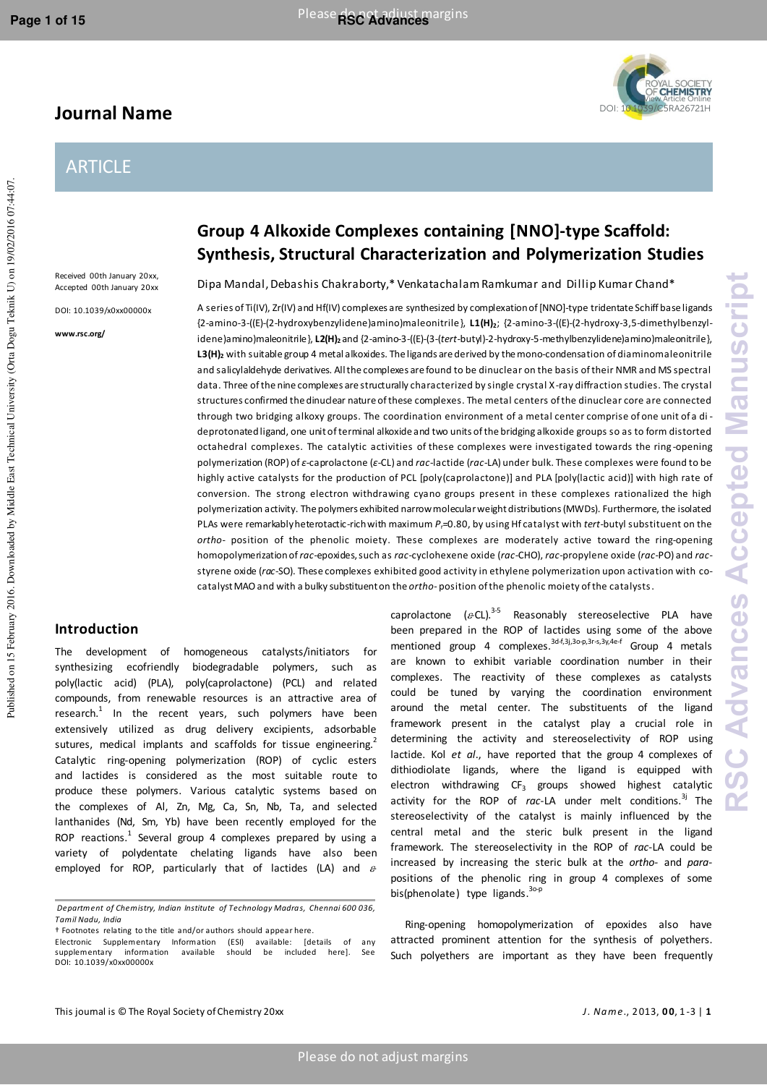# **Journal Name**

# View Article Online<br>DOI: 10.1039/C5RA26721H

# **ARTICLE**

Received 00th January 20xx, Accepted 00th January 20xx

DOI: 10.1039/x0xx00000x

**www.rsc.org/** 

### **Group 4 Alkoxide Complexes containing [NNO]-type Scaffold: Synthesis, Structural Characterization and Polymerization Studies**

Dipa Mandal, Debashis Chakraborty,\* Venkatachalam Ramkumar and Dillip Kumar Chand\*

A series of Ti(IV), Zr(IV) and Hf(IV) complexes are synthesized by complexation of [NNO]-type tridentate Schiff base ligands {2-amino-3-((E)-(2-hydroxybenzylidene)amino)maleonitrile}, **L1(H)2**; {2-amino-3-((E)-(2-hydroxy-3,5-dimethylbenzylidene)amino)maleonitrile}, **L2(H)2** and {2-amino-3-((E)-(3-(*tert*-butyl)-2-hydroxy-5-methylbenzylidene)amino)maleonitrile}, **L3(H)2** with suitable group 4 metal alkoxides. The ligands are derived by the mono-condensation of diaminomaleonitrile and salicylaldehyde derivatives. All the complexes are found to be dinuclear on the basis of their NMR and MS spectral data. Three of the nine complexes are structurally characterized by single crystal X-ray diffraction studies. The crystal structures confirmed the dinuclear nature of these complexes. The metal centers of the dinuclear core are connected through two bridging alkoxy groups. The coordination environment of a metal center comprise of one unit of a di deprotonated ligand, one unit of terminal alkoxide and two units of the bridging alkoxide groups so as to form distorted octahedral complexes. The catalytic activities of these complexes were investigated towards the ring -opening polymerization (ROP) of *ε*-caprolactone (*ε*-CL) and *rac*-lactide (*rac*-LA) under bulk. These complexes were found to be highly active catalysts for the production of PCL [poly(caprolactone)] and PLA [poly(lactic acid)] with high rate of conversion. The strong electron withdrawing cyano groups present in these complexes rationalized the high polymerization activity. The polymers exhibited narrow molecular weight distributions (MWDs). Furthermore, the isolated PLAs were remarkably heterotactic-rich with maximum *P*r=0.80, by using Hf catalyst with *tert*-butyl substituent on the *ortho*- position of the phenolic moiety. These complexes are moderately active toward the ring-opening homopolymerization of *rac*-epoxides, such as *rac*-cyclohexene oxide (*rac*-CHO), *rac*-propylene oxide (*rac*-PO) and *rac*styrene oxide (*rac*-SO). These complexes exhibited good activity in ethylene polymerization upon activation with cocatalyst MAO and with a bulky substituent on the *ortho*- position of the phenolic moiety of the catalysts.

#### **Introduction**

The development of homogeneous catalysts/initiators for synthesizing ecofriendly biodegradable polymers, such as poly(lactic acid) (PLA), poly(caprolactone) (PCL) and related compounds, from renewable resources is an attractive area of research. $1$  In the recent years, such polymers have been extensively utilized as drug delivery excipients, adsorbable sutures, medical implants and scaffolds for tissue engineering.<sup>2</sup> Catalytic ring-opening polymerization (ROP) of cyclic esters and lactides is considered as the most suitable route to produce these polymers. Various catalytic systems based on the complexes of Al, Zn, Mg, Ca, Sn, Nb, Ta, and selected lanthanides (Nd, Sm, Yb) have been recently employed for the ROP reactions.<sup>1</sup> Several group 4 complexes prepared by using a variety of polydentate chelating ligands have also been employed for ROP, particularly that of lactides (LA) and  $\varepsilon$ 

caprolactone ( $\varepsilon$ CL).<sup>3-5</sup> Reasonably stereoselective PLA have been prepared in the ROP of lactides using some of the above mentioned group 4 complexes.<sup>3d-f,3j,3o-p,3r-s,3y,4e-f</sup> Group 4 metals are known to exhibit variable coordination number in their complexes. The reactivity of these complexes as catalysts could be tuned by varying the coordination environment around the metal center. The substituents of the ligand framework present in the catalyst play a crucial role in determining the activity and stereoselectivity of ROP using lactide. Kol *et al*., have reported that the group 4 complexes of dithiodiolate ligands, where the ligand is equipped with electron withdrawing  $CF_3$  groups showed highest catalytic activity for the ROP of *rac*-LA under melt conditions.<sup>3j</sup> The stereoselectivity of the catalyst is mainly influenced by the central metal and the steric bulk present in the ligand framework. The stereoselectivity in the ROP of *rac*-LA could be increased by increasing the steric bulk at the *ortho-* and *para*positions of the phenolic ring in group 4 complexes of some bis(phenolate) type ligands.<sup>30-p</sup>

 Ring-opening homopolymerization of epoxides also have attracted prominent attention for the synthesis of polyethers. Such polyethers are important as they have been frequently

*Department of Chemistry, Indian Institute of Technology Madras, Chennai 600 036, Tamil Nadu, India* 

<sup>†</sup> Footnotes relating to the title and/or authors should appear here.

Electronic Supplementary Information (ESI) available: [details of any supplementary information available should be included here]. See DOI: 10.1039/x0xx00000x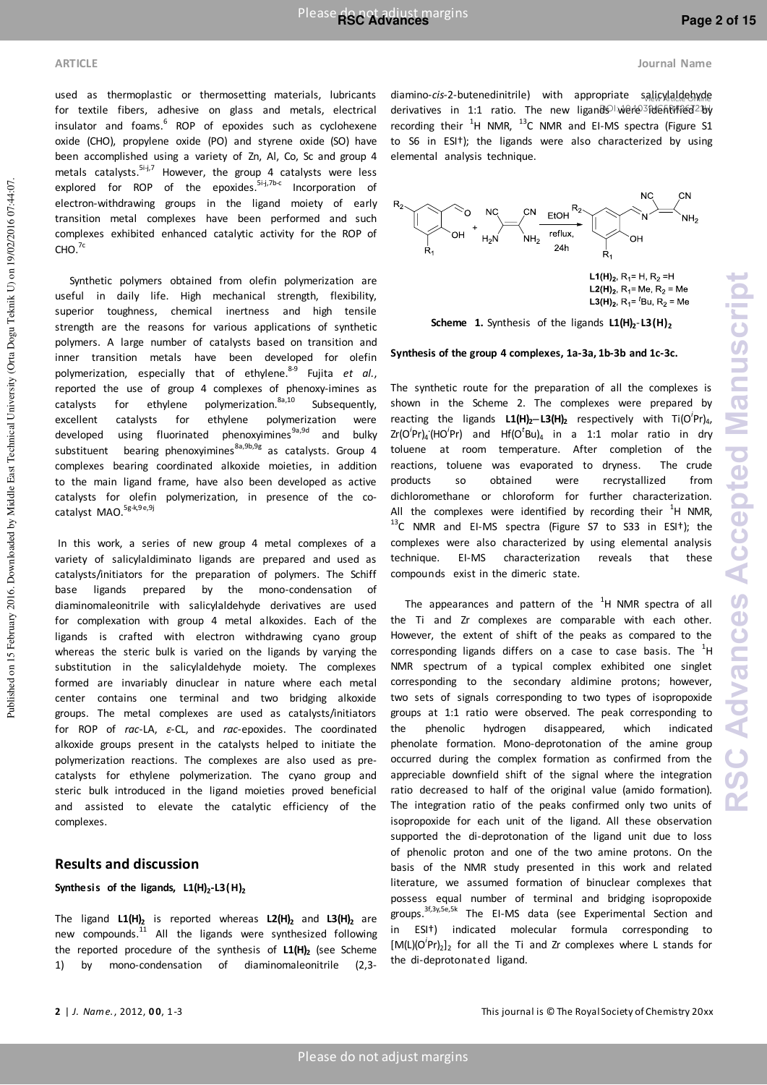#### **ARTICLE Journal Name**

used as thermoplastic or thermosetting materials, lubricants for textile fibers, [adhesive](http://www.answers.com/topic/adhesion) on glass and metals, electrical insulator and foams.<sup>6</sup> ROP of epoxides such as cyclohexene oxide (CHO), propylene oxide (PO) and styrene oxide (SO) have been accomplished using a variety of Zn, Al, Co, Sc and group 4 metals catalysts. $5i+j,7$  However, the group 4 catalysts were less explored for ROP of the epoxides.<sup>5i-j,7b-c</sup> Incorporation of electron-withdrawing groups in the ligand moiety of early transition metal complexes have been performed and such complexes exhibited enhanced catalytic activity for the ROP of  $CHO.<sup>7c</sup>$ 

 Synthetic polymers obtained from olefin polymerization are useful in daily life. High mechanical strength, flexibility, superior toughness, chemical inertness and high tensile strength are the reasons for various applications of synthetic polymers. A large number of catalysts based on transition and inner transition metals have been developed for olefin polymerization, especially that of ethylene.<sup>8-9</sup> Fujita et al., reported the use of group 4 complexes of phenoxy-imines as catalysts for ethylene polymerization. $8a,10$  Subsequently, excellent catalysts for ethylene polymerization were developed using fluorinated phenoxyimines<sup>9a,9d</sup> and bulky substituent bearing phenoxyimines  $8a,9b,9g$  as catalysts. Group 4 complexes bearing coordinated alkoxide moieties, in addition to the main ligand frame, have also been developed as active catalysts for olefin polymerization, in presence of the cocatalyst MAO.<sup>5g-k,9e,9j</sup>

 In this work, a series of new group 4 metal complexes of a variety of salicylaldiminato ligands are prepared and used as catalysts/initiators for the preparation of polymers. The Schiff base ligands prepared by the mono-condensation of diaminomaleonitrile with salicylaldehyde derivatives are used for complexation with group 4 metal alkoxides. Each of the ligands is crafted with electron withdrawing cyano group whereas the steric bulk is varied on the ligands by varying the substitution in the salicylaldehyde moiety. The complexes formed are invariably dinuclear in nature where each metal center contains one terminal and two bridging alkoxide groups. The metal complexes are used as catalysts/initiators for ROP of *rac*-LA, *ε*-CL, and *rac*-epoxides. The coordinated alkoxide groups present in the catalysts helped to initiate the polymerization reactions. The complexes are also used as precatalysts for ethylene polymerization. The cyano group and steric bulk introduced in the ligand moieties proved beneficial and assisted to elevate the catalytic efficiency of the complexes.

#### **Results and discussion**

#### Synthesis of the ligands,  $LI(H)_2$ -L3(H)<sub>2</sub>

The ligand **L1(H)2** is reported whereas **L2(H)2** and **L3(H)2** are new compounds.<sup>11</sup> All the ligands were synthesized following the reported procedure of the synthesis of **L1(H)2** (see Scheme 1) by mono-condensation of diaminomaleonitrile (2,3-

diamino-*cis*-2-butenedinitrile) with appropriate salicylaldehyde derivatives in 1:1 ratio. The new ligands were 3dentified 2 by recording their  ${}^{1}$ H NMR,  ${}^{13}$ C NMR and EI-MS spectra (Figure S1 to S6 in ESI†); the ligands were also characterized by using elemental analysis technique.



**Scheme 1.** Synthesis of the ligands  $LI(H)$ <sup>2</sup>-  $L3(H)$ <sup>2</sup>

**Synthesis of the group 4 complexes, 1a-3a, 1b-3b and 1c-3c.** 

The synthetic route for the preparation of all the complexes is shown in the Scheme 2. The complexes were prepared by reacting the ligands L1(H)<sub>2</sub>-L3(H)<sub>2</sub> respectively with Ti(O<sup>'</sup>Pr)<sub>4</sub>, Zr(O*<sup>i</sup>* Pr)<sup>4</sup> **.** (HO*<sup>i</sup>* Pr) and Hf(O*<sup>t</sup>* Bu)<sup>4</sup> in a 1:1 molar ratio in dry toluene at room temperature. After completion of the reactions, toluene was evaporated to dryness. The crude products so obtained were recrystallized from dichloromethane or chloroform for further characterization. All the complexes were identified by recording their  ${}^{1}$ H NMR,  $^{13}$ C NMR and EI-MS spectra (Figure S7 to S33 in ESI+); the complexes were also characterized by using elemental analysis technique. EI-MS characterization reveals that these compounds exist in the dimeric state.

The appearances and pattern of the  ${}^{1}$ H NMR spectra of all the Ti and Zr complexes are comparable with each other. However, the extent of shift of the peaks as compared to the corresponding ligands differs on a case to case basis. The  ${}^{1}$ H NMR spectrum of a typical complex exhibited one singlet corresponding to the secondary aldimine protons; however, two sets of signals corresponding to two types of isopropoxide groups at 1:1 ratio were observed. The peak corresponding to the phenolic hydrogen disappeared, which indicated phenolate formation. Mono-deprotonation of the amine group occurred during the complex formation as confirmed from the appreciable downfield shift of the signal where the integration ratio decreased to half of the original value (amido formation). The integration ratio of the peaks confirmed only two units of isopropoxide for each unit of the ligand. All these observation supported the di-deprotonation of the ligand unit due to loss of phenolic proton and one of the two amine protons. On the basis of the NMR study presented in this work and related literature, we assumed formation of binuclear complexes that possess equal number of terminal and bridging isopropoxide groups.<sup>3f,3y,5e,5k</sup> The EI-MS data (see Experimental Section and in ESI†) indicated molecular formula corresponding to [M(L)(O<sup>'</sup>Pr)<sub>2</sub>]<sub>2</sub> for all the Ti and Zr complexes where L stands for the di-deprotonated ligand.

Published on 15 February 2016. Downloaded by Middle East Technical University (Orta Dogu Teknik U) on 19/02/2016 07:44:07. Published on 15 February 2016. Downloaded by Middle East Technical University (Orta Dogu Teknik U) on 19/02/2016 07:44:07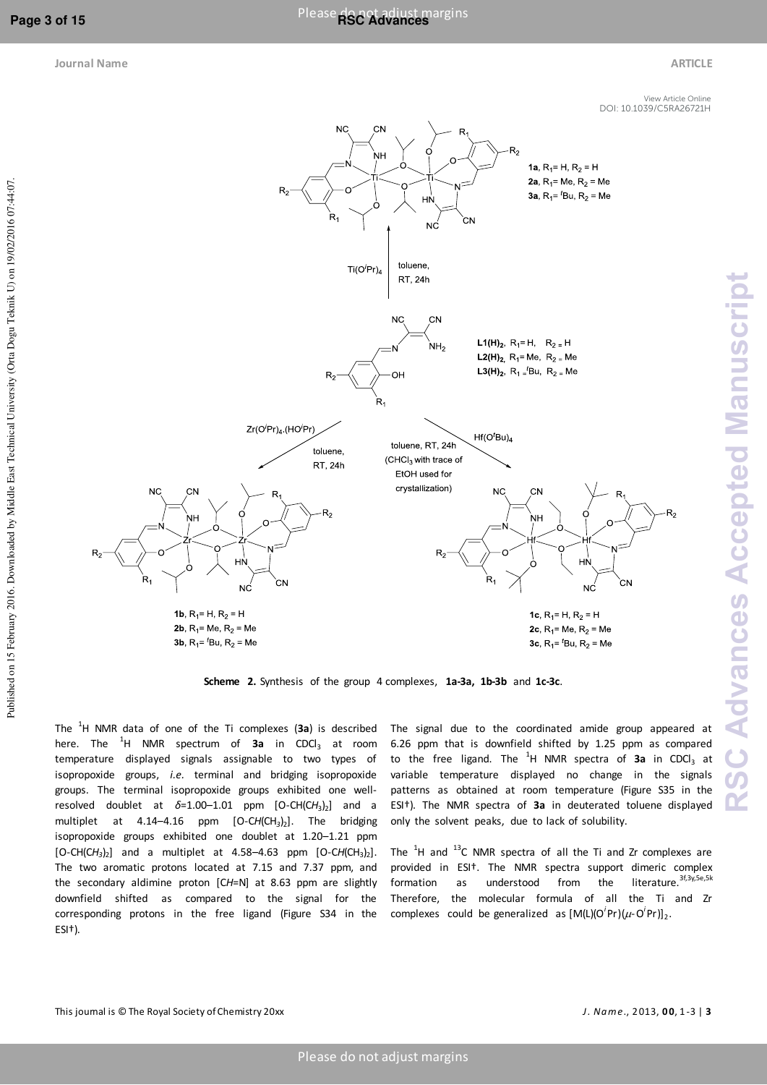#### **Journal Name ARTICLE ARTICLE**

View Article Online

**RSC Advances Accepted Manuscript**

**SC Advances Accepted Manuscript** 



**Scheme 2.** Synthesis of the group 4 complexes, **1a-3a, 1b-3b** and **1c-3c**.

The <sup>1</sup> H NMR data of one of the Ti complexes (**3a**) is described here. The <sup>1</sup>H NMR spectrum of **3a** in CDCI<sub>3</sub> at room temperature displayed signals assignable to two types of isopropoxide groups, *i.e.* terminal and bridging isopropoxide groups. The terminal isopropoxide groups exhibited one wellresolved doublet at  $\delta$ =1.00–1.01 ppm [O-CH(CH<sub>3</sub>)<sub>2</sub>] and a multiplet at 4.14–4.16 ppm [O-C*H*(CH*3*)2]. The bridging isopropoxide groups exhibited one doublet at 1.20–1.21 ppm  $[O-CH(CH<sub>3</sub>)<sub>2</sub>]$  and a multiplet at 4.58–4.63 ppm  $[O-CH(CH<sub>3</sub>)<sub>2</sub>].$ The two aromatic protons located at 7.15 and 7.37 ppm, and the secondary aldimine proton [C*H*=N] at 8.63 ppm are slightly downfield shifted as compared to the signal for the corresponding protons in the free ligand (Figure S34 in the ESI†).

The signal due to the coordinated amide group appeared at 6.26 ppm that is downfield shifted by 1.25 ppm as compared to the free ligand. The  ${}^{1}$ H NMR spectra of **3a** in CDCl<sub>3</sub> at variable temperature displayed no change in the signals patterns as obtained at room temperature (Figure S35 in the ESI†). The NMR spectra of **3a** in deuterated toluene displayed only the solvent peaks, due to lack of solubility.

The  $^{1}$ H and  $^{13}$ C NMR spectra of all the Ti and Zr complexes are provided in ESI†. The NMR spectra support dimeric complex formation as understood from the literature.  $3f,3y,5e,5k$ Therefore, the molecular formula of all the Ti and Zr complexes could be generalized as  $[M(L)(O<sup>i</sup>Pr)(\mu-O<sup>i</sup>Pr)]_2$ .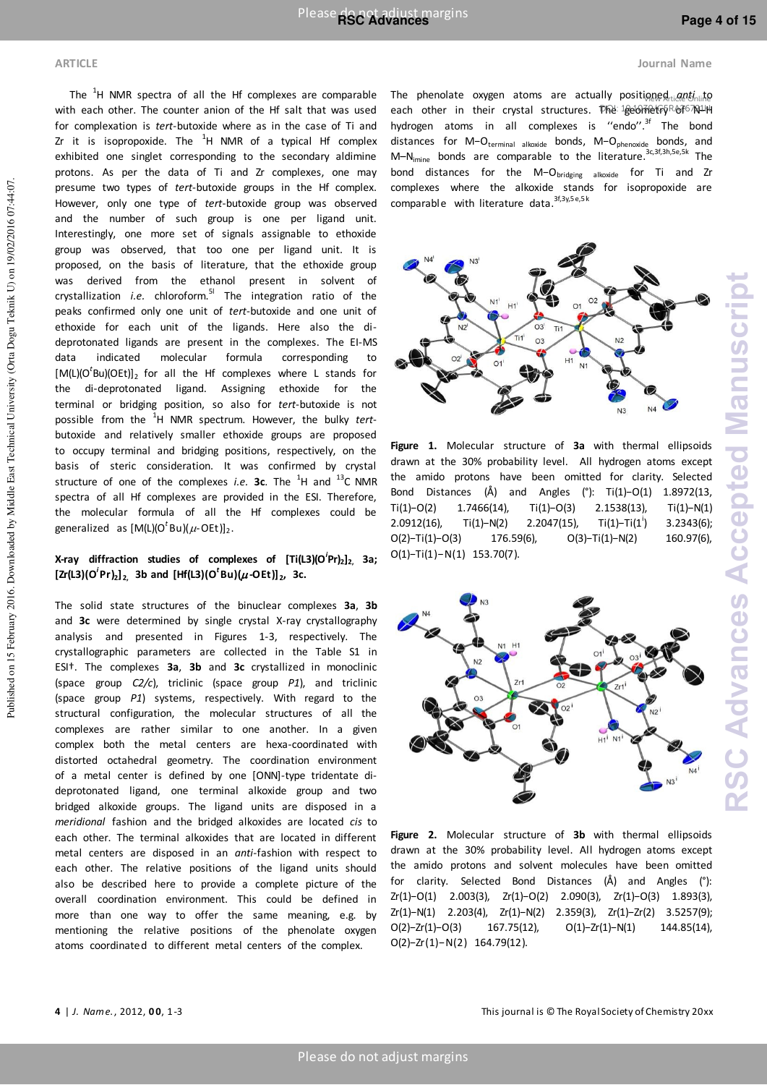Published on 15 February 2016. Downloaded by Middle East Technical University (Orta Dogu Teknik U) on 19/02/2016 07:44:07. Published on 15 February 2016. Downloaded by Middle East Technical University (Orta Dogu Teknik U) on 19/02/2016 07:44:07

The  $1$ <sup>H</sup> NMR spectra of all the Hf complexes are comparable with each other. The counter anion of the Hf salt that was used for complexation is *tert*-butoxide where as in the case of Ti and Zr it is isopropoxide. The  ${}^{1}$ H NMR of a typical Hf complex exhibited one singlet corresponding to the secondary aldimine protons. As per the data of Ti and Zr complexes, one may presume two types of *tert*-butoxide groups in the Hf complex. However, only one type of *tert*-butoxide group was observed and the number of such group is one per ligand unit. Interestingly, one more set of signals assignable to ethoxide group was observed, that too one per ligand unit. It is proposed, on the basis of literature, that the ethoxide group was derived from the ethanol present in solvent of crystallization *i.e.* chloroform.<sup>51</sup> The integration ratio of the peaks confirmed only one unit of *tert*-butoxide and one unit of ethoxide for each unit of the ligands. Here also the dideprotonated ligands are present in the complexes. The EI-MS data indicated molecular formula corresponding to [M(L)(O*<sup>t</sup>* Bu)(OEt)]2 for all the Hf complexes where L stands for the di-deprotonated ligand. Assigning ethoxide for the terminal or bridging position, so also for *tert*-butoxide is not possible from the 1 H NMR spectrum. However, the bulky *tert*butoxide and relatively smaller ethoxide groups are proposed to occupy terminal and bridging positions, respectively, on the basis of steric consideration. It was confirmed by crystal structure of one of the complexes *i.e.* **3c**. The <sup>1</sup>H and <sup>13</sup>C NMR spectra of all Hf complexes are provided in the ESI. Therefore, the molecular formula of all the Hf complexes could be generalized as  $[M(L)(O<sup>t</sup>Bu)(\mu$ -OEt)]<sub>2</sub>.

#### **X-ray diffraction studies of complexes of [Ti(L3)(O***<sup>i</sup>* **Pr)2]2, 3a;**   $[\text{Zr}(\text{L3})(\text{O}^i\text{Pr})_2]_2$ , 3b and  $[\text{Hf}(\text{L3})(\text{O}^t\text{Bu}) (\mu\text{-OEt})]_2$ , 3c.

The solid state structures of the binuclear complexes **3a**, **3b** and **3c** were determined by single crystal X-ray crystallography analysis and presented in Figures 1-3, respectively. The crystallographic parameters are collected in the Table S1 in ESI†. The complexes **3a**, **3b** and **3c** crystallized in monoclinic (space group *C2/c*), triclinic (space group *P1*), and triclinic (space group *P1*) systems, respectively. With regard to the structural configuration, the molecular structures of all the complexes are rather similar to one another. In a given complex both the metal centers are hexa-coordinated with distorted octahedral geometry. The coordination environment of a metal center is defined by one [ONN]-type tridentate dideprotonated ligand, one terminal alkoxide group and two bridged alkoxide groups. The ligand units are disposed in a *meridional* fashion and the bridged alkoxides are located *cis* to each other. The terminal alkoxides that are located in different metal centers are disposed in an *anti-*fashion with respect to each other. The relative positions of the ligand units should also be described here to provide a complete picture of the overall coordination environment. This could be defined in more than one way to offer the same meaning, e.g. by mentioning the relative positions of the phenolate oxygen atoms coordinated to different metal centers of the complex.

The phenolate oxygen atoms are actually positioned ticanti<sub>nline</sub> each other in their crystal structures. Phe <del>lgeometry Rof</del>67N<del>1</del>H hydrogen atoms in all complexes is "endo".<sup>3f</sup> The bond distances for M−O<sub>terminal alkoxide</sub> bonds, M−O<sub>phenoxide</sub> bonds, and M-N<sub>imine</sub> bonds are comparable to the literature.<sup>3c,3f,3h,5e,5k</sup> The bond distances for the M−Obridging alkoxide for Ti and Zr complexes where the alkoxide stands for isopropoxide are comparable with literature data.  $3f,3y,5e,5k$ 



**Figure 1.** Molecular structure of **3a** with thermal ellipsoids drawn at the 30% probability level. All hydrogen atoms except the amido protons have been omitted for clarity. Selected Bond Distances (Å) and Angles (°): Ti(1)−O(1) 1.8972(13, Ti(1)−O(2) 1.7466(14), Ti(1)−O(3) 2.1538(13), Ti(1)−N(1) 2.0912(16), Ti(1)–N(2) 2.2047(15), Ti(1)–Ti(1<sup>'</sup>) ) 3.2343(6); O(2)−Ti(1)−O(3) 176.59(6), O(3)−Ti(1)−N(2) 160.97(6), O(1)−Ti(1)−N(1) 153.70(7).



**Figure 2.** Molecular structure of **3b** with thermal ellipsoids drawn at the 30% probability level. All hydrogen atoms except the amido protons and solvent molecules have been omitted for clarity. Selected Bond Distances (Å) and Angles (°): Zr(1)−O(1) 2.003(3), Zr(1)−O(2) 2.090(3), Zr(1)−O(3) 1.893(3), Zr(1)−N(1) 2.203(4), Zr(1)−N(2) 2.359(3), Zr(1)−Zr(2) 3.5257(9); O(2)−Zr(1)−O(3) 167.75(12), O(1)−Zr(1)−N(1) 144.85(14), O(2)−Zr(1)−N(2) 164.79(12).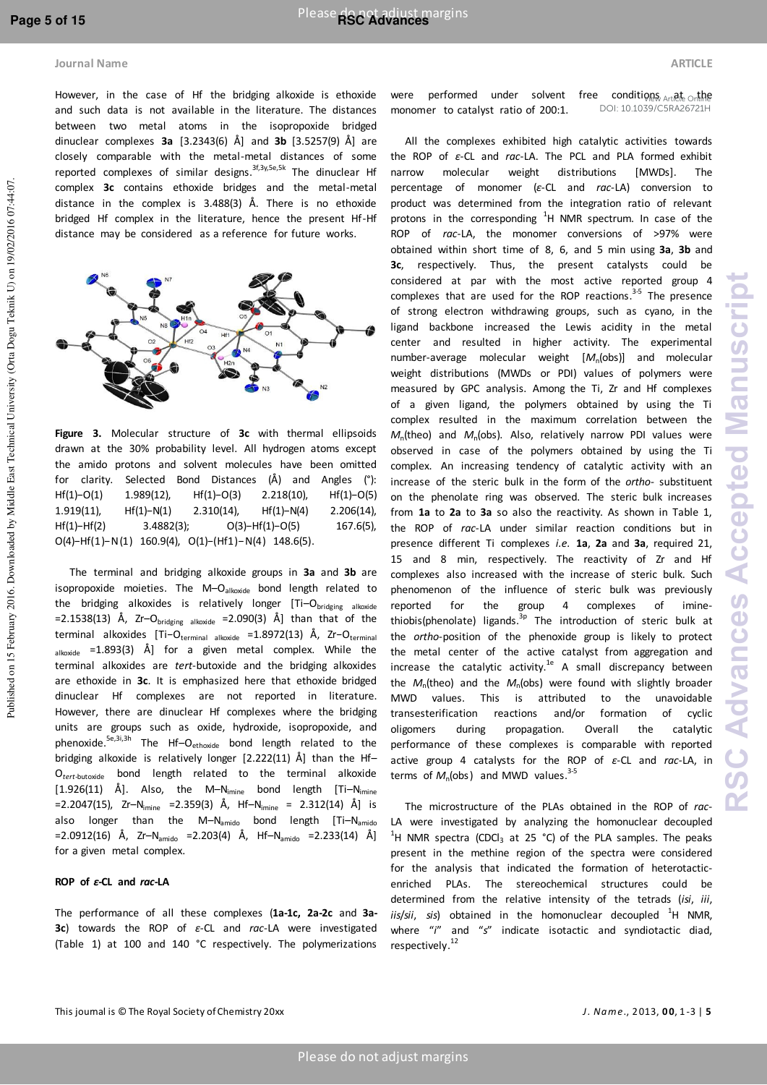Published on 15 February 2016. Downloaded by Middle East Technical University (Orta Dogu Teknik U) on 19/02/2016 07:44:07.

Published on 15 February 2016. Downloaded by Middle East Technical University (Orta Dogu Teknik U) on 19/02/2016 07:44:07

#### **Journal Name ARTICLE ARTICLE**

However, in the case of Hf the bridging alkoxide is ethoxide and such data is not available in the literature. The distances between two metal atoms in the isopropoxide bridged dinuclear complexes **3a** [3.2343(6) Å] and **3b** [3.5257(9) Å] are closely comparable with the metal-metal distances of some reported complexes of similar designs.<sup>3f,3y,5e,5k</sup> The dinuclear Hf complex **3c** contains ethoxide bridges and the metal-metal distance in the complex is 3.488(3) Å. There is no ethoxide bridged Hf complex in the literature, hence the present Hf-Hf distance may be considered as a reference for future works.



**Figure 3.** Molecular structure of **3c** with thermal ellipsoids drawn at the 30% probability level. All hydrogen atoms except the amido protons and solvent molecules have been omitted for clarity. Selected Bond Distances (Å) and Angles (°): Hf(1)−O(1) 1.989(12), Hf(1)−O(3) 2.218(10), Hf(1)−O(5) 1.919(11), Hf(1)−N(1) 2.310(14), Hf(1)−N(4) 2.206(14), Hf(1)−Hf(2) 3.4882(3); O(3)−Hf(1)−O(5) 167.6(5), O(4)−Hf(1)−N(1) 160.9(4), O(1)−(Hf1)−N(4) 148.6(5).

 The terminal and bridging alkoxide groups in **3a** and **3b** are isopropoxide moieties. The M-O<sub>alkoxide</sub> bond length related to the bridging alkoxides is relatively longer [Ti-O<sub>bridging alkoxide</sub> =2.1538(13) Å, Zr-O $_{\text{bridging}$  alkoxide =2.090(3) Å] than that of the terminal alkoxides [Ti−O<sub>terminal alkoxide</sub> =1.8972(13) Å, Zr−O<sub>terminal</sub>  $_{\text{alkoxide}}$  =1.893(3)  $\text{Å}$ ] for a given metal complex. While the terminal alkoxides are *tert*-butoxide and the bridging alkoxides are ethoxide in **3c**. It is emphasized here that ethoxide bridged dinuclear Hf complexes are not reported in literature. However, there are dinuclear Hf complexes where the bridging units are groups such as oxide, hydroxide, isopropoxide, and phenoxide.<sup>5e,3i,3h</sup> The Hf–O<sub>ethoxide</sub> bond length related to the bridging alkoxide is relatively longer [2.222(11) Å] than the Hf– O*tert*-butoxide bond length related to the terminal alkoxide [1.926(11) Å]. Also, the M- $N_{\text{imine}}$  bond length [Ti- $N_{\text{imine}}$ =2.2047(15), Zr–N<sub>imine</sub> =2.359(3) Å, Hf–N<sub>imine</sub> = 2.312(14) Å] is also longer than the M- $N_{\text{amido}}$  bond length [Ti- $N_{\text{amido}}$ =2.0912(16) Å, Zr–N<sub>amido</sub> =2.203(4) Å, Hf–N<sub>amido</sub> =2.233(14) Å] for a given metal complex.

#### **ROP of** *ε***-CL and** *rac***-LA**

The performance of all these complexes (**1a-1c, 2a-2c** and **3a-3c**) towards the ROP of *ε*-CL and *rac*-LA were investigated (Table 1) at 100 and 140 °C respectively. The polymerizations

were performed under solvent free conditions,  $_{\text{Art}$  at  $_{\text{On}}$  the monomer to catalyst ratio of 200:1. DOI: 10.1039/C5RA26721H

 All the complexes exhibited high catalytic activities towards the ROP of *ε*-CL and *rac*-LA. The PCL and PLA formed exhibit narrow molecular weight distributions [MWDs]. The percentage of monomer (*ε*-CL and *rac*-LA) conversion to product was determined from the integration ratio of relevant protons in the corresponding  ${}^{1}H$  NMR spectrum. In case of the ROP of *rac*-LA, the monomer conversions of >97% were obtained within short time of 8, 6, and 5 min using **3a**, **3b** and **3c**, respectively. Thus, the present catalysts could be considered at par with the most active reported group 4 complexes that are used for the ROP reactions. $3-5$  The presence of strong electron withdrawing groups, such as cyano, in the ligand backbone increased the Lewis acidity in the metal center and resulted in higher activity. The experimental number-average molecular weight [*M*n(obs)] and molecular weight distributions (MWDs or PDI) values of polymers were measured by GPC analysis. Among the Ti, Zr and Hf complexes of a given ligand, the polymers obtained by using the Ti complex resulted in the maximum correlation between the *M*n(theo) and *M*n(obs). Also, relatively narrow PDI values were observed in case of the polymers obtained by using the Ti complex. An increasing tendency of catalytic activity with an increase of the steric bulk in the form of the *ortho-* substituent on the phenolate ring was observed. The steric bulk increases from **1a** to **2a** to **3a** so also the reactivity. As shown in Table 1, the ROP of *rac*-LA under similar reaction conditions but in presence different Ti complexes *i.e.* **1a**, **2a** and **3a**, required 21, 15 and 8 min, respectively. The reactivity of Zr and Hf complexes also increased with the increase of steric bulk. Such phenomenon of the influence of steric bulk was previously reported for the group 4 complexes of iminethiobis(phenolate) ligands. $^{3p}$  The introduction of steric bulk at the *ortho*-position of the phenoxide group is likely to protect the metal center of the active catalyst from aggregation and increase the catalytic activity.<sup>1e</sup> A small discrepancy between the *M*n(theo) and the *M*n(obs) were found with slightly broader MWD values. This is attributed to the unavoidable transesterification reactions and/or formation of cyclic oligomers during propagation. Overall the catalytic performance of these complexes is comparable with reported active group 4 catalysts for the ROP of *ε*-CL and *rac*-LA, in terms of  $M_n$ (obs) and MWD values.<sup>3-5</sup>

 The microstructure of the PLAs obtained in the ROP of *rac*-LA were investigated by analyzing the homonuclear decoupled <sup>1</sup>H NMR spectra (CDCl<sub>3</sub> at 25 °C) of the PLA samples. The peaks present in the methine region of the spectra were considered for the analysis that indicated the formation of heterotacticenriched PLAs. The stereochemical structures could be determined from the relative intensity of the tetrads (*isi*, *iii*, iis/sii, sis) obtained in the homonuclear decoupled <sup>1</sup>H NMR, where "*i*" and "*s*" indicate isotactic and syndiotactic diad, respectively.<sup>12</sup>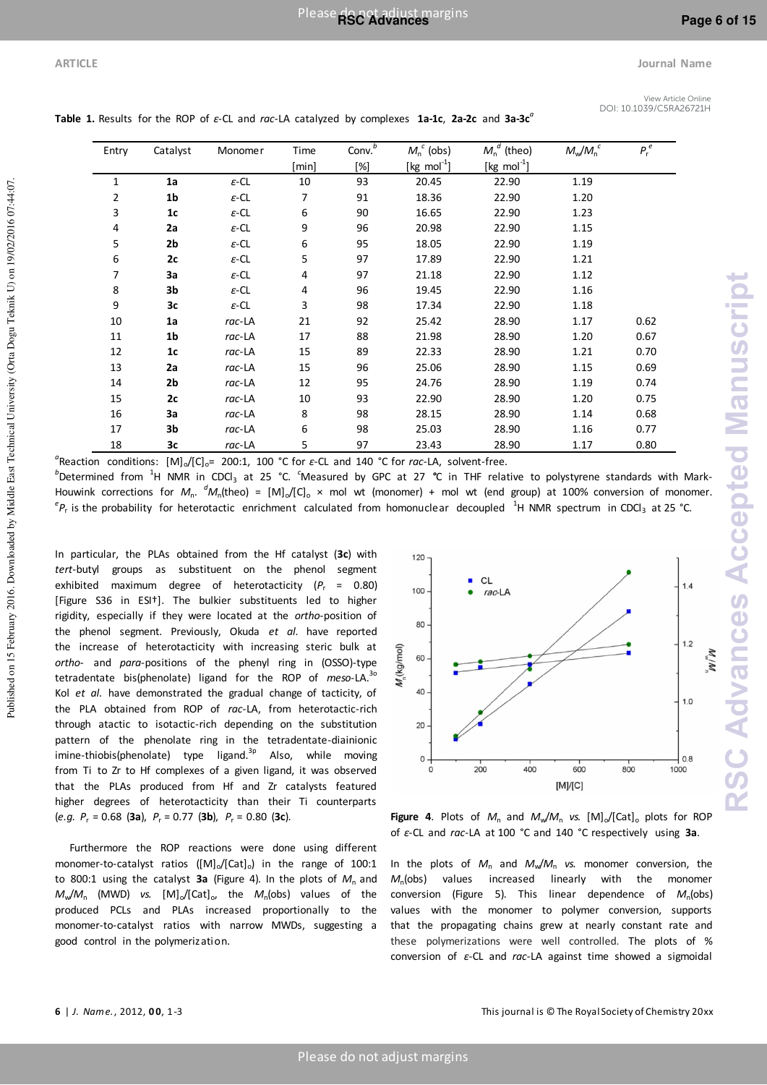**RSC Advances Accepted Manuscript**

ccepted Manuscript

View Article Online DOI: 10.1039/C5RA26721H

**Table 1.** Results for the ROP of *ε*-CL and *rac*-LA catalyzed by complexes **1a-1c**, **2a-2c** and **3a-3c***<sup>a</sup>*

| Entry          | Catalyst       | Monome r          | Time  | Conv. <sup>b</sup> | $M_n^c$ (obs)     | $M_n^d$ (theo)          | $M_w/M_n^c$ | $P_r^e$ |
|----------------|----------------|-------------------|-------|--------------------|-------------------|-------------------------|-------------|---------|
|                |                |                   | [min] | [%]                | [kg mol $^{-1}$ ] | [kg mol <sup>-1</sup> ] |             |         |
| 1              | 1a             | $\varepsilon$ -CL | 10    | 93                 | 20.45             | 22.90                   | 1.19        |         |
| $\overline{2}$ | 1 <sub>b</sub> | $\varepsilon$ -CL | 7     | 91                 | 18.36             | 22.90                   | 1.20        |         |
| 3              | 1 <sub>c</sub> | $\varepsilon$ -CL | 6     | 90                 | 16.65             | 22.90                   | 1.23        |         |
| 4              | 2a             | $\varepsilon$ -CL | 9     | 96                 | 20.98             | 22.90                   | 1.15        |         |
| 5              | 2 <sub>b</sub> | $\varepsilon$ -CL | 6     | 95                 | 18.05             | 22.90                   | 1.19        |         |
| 6              | 2c             | $\varepsilon$ -CL | 5     | 97                 | 17.89             | 22.90                   | 1.21        |         |
| 7              | 3a             | $\varepsilon$ -CL | 4     | 97                 | 21.18             | 22.90                   | 1.12        |         |
| 8              | 3b             | $\varepsilon$ -CL | 4     | 96                 | 19.45             | 22.90                   | 1.16        |         |
| 9              | 3c             | $\varepsilon$ -CL | 3     | 98                 | 17.34             | 22.90                   | 1.18        |         |
| 10             | 1a             | rac-LA            | 21    | 92                 | 25.42             | 28.90                   | 1.17        | 0.62    |
| 11             | 1b             | rac-LA            | 17    | 88                 | 21.98             | 28.90                   | 1.20        | 0.67    |
| 12             | 1 <sub>c</sub> | rac-LA            | 15    | 89                 | 22.33             | 28.90                   | 1.21        | 0.70    |
| 13             | 2a             | rac-LA            | 15    | 96                 | 25.06             | 28.90                   | 1.15        | 0.69    |
| 14             | 2b             | rac-LA            | 12    | 95                 | 24.76             | 28.90                   | 1.19        | 0.74    |
| 15             | 2c             | rac-LA            | 10    | 93                 | 22.90             | 28.90                   | 1.20        | 0.75    |
| 16             | За             | rac-LA            | 8     | 98                 | 28.15             | 28.90                   | 1.14        | 0.68    |
| 17             | 3b             | rac-LA            | 6     | 98                 | 25.03             | 28.90                   | 1.16        | 0.77    |
| 18             | Зс             | rac-LA            | 5     | 97                 | 23.43             | 28.90                   | 1.17        | 0.80    |

<sup>a</sup>Reaction conditions: [M]<sub>o</sub>/[C]<sub>o</sub>= 200:1, 100 °C for *ε*-CL and 140 °C for *rac*-LA, solvent-free. <sup>b</sup>Determined from <sup>1</sup>H NMR in CDCl<sub>3</sub> at 25 °C. <sup>c</sup>Measured by GPC at 27 °C in THF relative to polystyrene standards with Mark-

Houwink corrections for  $M_n$ . <sup>*d*</sup> $M_n$ (theo) = [M]<sub>o</sub>/[C]<sub>o</sub> × mol wt (monomer) + mol wt (end group) at 100% conversion of monomer. <sup>e</sup>P<sub>r</sub> is the probability for heterotactic enrichment calculated from homonuclear decoupled <sup>1</sup>H NMR spectrum in CDCl<sub>3</sub> at 25 °C.

In particular, the PLAs obtained from the Hf catalyst (**3c**) with *tert*-butyl groups as substituent on the phenol segment exhibited maximum degree of heterotacticity ( $P_r$  = 0.80) [Figure S36 in ESI†]. The bulkier substituents led to higher rigidity, especially if they were located at the *ortho*-position of the phenol segment. Previously, Okuda *et al.* have reported the increase of heterotacticity with increasing steric bulk at *ortho*- and *para*-positions of the phenyl ring in (OSSO)-type tetradentate bis(phenolate) ligand for the ROP of *meso*-LA.3o Kol *et al.* have demonstrated the gradual change of tacticity, of the PLA obtained from ROP of *rac*-LA, from heterotactic-rich through atactic to isotactic-rich depending on the substitution pattern of the phenolate ring in the tetradentate-diainionic imine-thiobis(phenolate) type ligand. $3<sup>p</sup>$  Also, while moving from Ti to Zr to Hf complexes of a given ligand, it was observed that the PLAs produced from Hf and Zr catalysts featured higher degrees of heterotacticity than their Ti counterparts (*e.g. P*<sup>r</sup> = 0.68 (**3a**), *P*r = 0.77 (**3b**), *P*<sup>r</sup> = 0.80 (**3c**).

 Furthermore the ROP reactions were done using different monomer-to-catalyst ratios ( $[M]_{o}/[Cat]_{o}$ ) in the range of 100:1 to 800:1 using the catalyst  $3a$  (Figure 4). In the plots of  $M_n$  and *M*w/*M*n (MWD) *vs.* [M]o/[Cat]o, the *M*n(obs) values of the produced PCLs and PLAs increased proportionally to the monomer-to-catalyst ratios with narrow MWDs, suggesting a good control in the polymerization.



**Figure 4**. Plots of  $M_n$  and  $M_w/M_n$  *vs.*  $[M]_o/[Cat]_o$  plots for ROP of *ε*-CL and *rac*-LA at 100 °C and 140 °C respectively using **3a**.

In the plots of  $M_n$  and  $M_w/M_n$  *vs.* monomer conversion, the *M*n(obs) values increased linearly with the monomer conversion (Figure 5). This linear dependence of *M*n(obs) values with the monomer to polymer conversion, supports that the propagating chains grew at nearly constant rate and these polymerizations were well controlled. The plots of % conversion of *ε*-CL and *rac*-LA against time showed a sigmoidal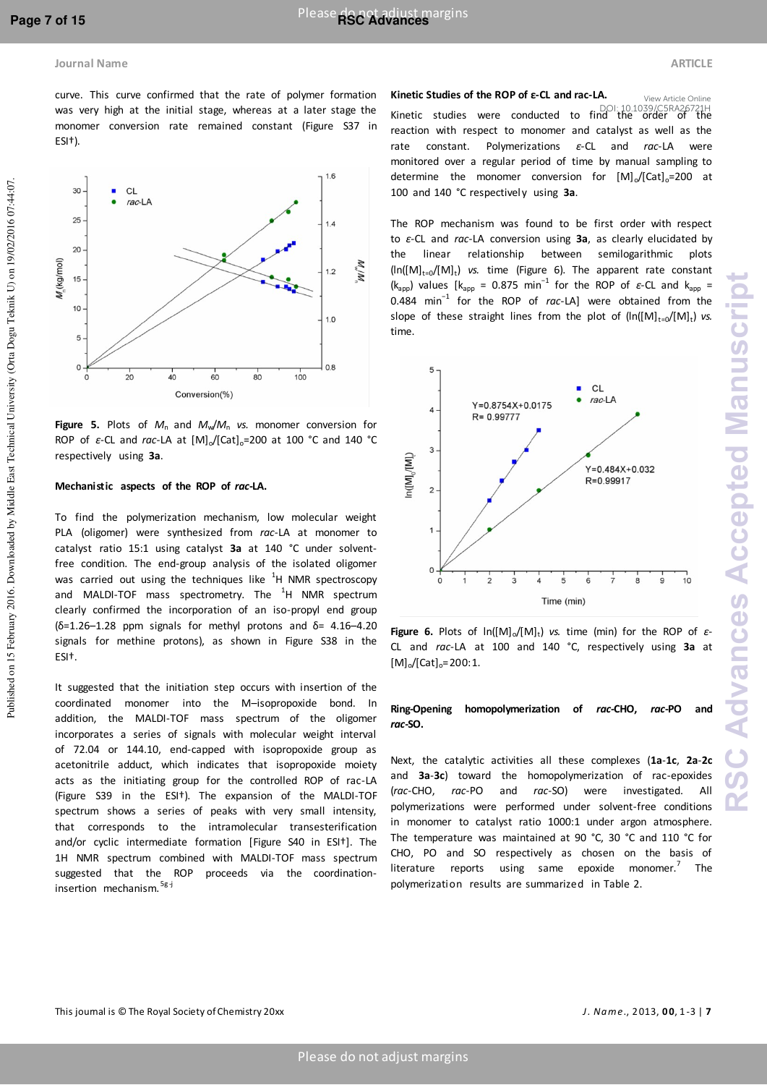## **Page 7 of 15 Research Margins margins** and proportional proportional proportion  $\mathsf{P}$  **RSC Advances**

#### **Journal Name ARTICLE ARTICLE**

curve. This curve confirmed that the rate of polymer formation was very high at the initial stage, whereas at a later stage the monomer conversion rate remained constant (Figure S37 in ESI†).



**Figure 5.** Plots of  $M_n$  and  $M_w/M_n$  *vs.* monomer conversion for ROP of *ε*-CL and *rac*-LA at [M]<sub>o</sub>/[Cat]<sub>o</sub>=200 at 100 °C and 140 °C respectively using **3a**.

#### **Mechanistic aspects of the ROP of** *rac***-LA.**

To find the polymerization mechanism, low molecular weight PLA (oligomer) were synthesized from *rac*-LA at monomer to catalyst ratio 15:1 using catalyst **3a** at 140 °C under solventfree condition. The end-group analysis of the isolated oligomer was carried out using the techniques like  ${}^{1}$ H NMR spectroscopy and MALDI-TOF mass spectrometry. The  ${}^{1}$ H NMR spectrum clearly confirmed the incorporation of an iso-propyl end group (δ=1.26–1.28 ppm signals for methyl protons and δ= 4.16–4.20 signals for methine protons), as shown in Figure S38 in the ESI†.

It suggested that the initiation step occurs with insertion of the coordinated monomer into the M–isopropoxide bond. In addition, the MALDI-TOF mass spectrum of the oligomer incorporates a series of signals with molecular weight interval of 72.04 or 144.10, end-capped with isopropoxide group as acetonitrile adduct, which indicates that isopropoxide moiety acts as the initiating group for the controlled ROP of rac-LA (Figure S39 in the ESI†). The expansion of the MALDI-TOF spectrum shows a series of peaks with very small intensity, that corresponds to the intramolecular transesterification and/or cyclic intermediate formation [Figure S40 in ESI†]. The 1H NMR spectrum combined with MALDI-TOF mass spectrum suggested that the ROP proceeds via the coordinationinsertion mechanism.  $5g-j$ 

View Article Online

#### **Kinetic Studies of the ROP of ε-CL and rac-LA.**

Kinetic studies were conducted to find the order of the DOI: 10.1039/C5RA26721Hreaction with respect to monomer and catalyst as well as the rate constant. Polymerizations *ε*-CL and *rac*-LA were monitored over a regular period of time by manual sampling to determine the monomer conversion for  $[M]_0/[Cat]_0=200$  at 100 and 140 °C respectively using **3a**.

The ROP mechanism was found to be first order with respect to *ε*-CL and *rac*-LA conversion using **3a**, as clearly elucidated by the linear relationship between semilogarithmic plots  $(ln([M]_{t=0}/[M]_{t})$  *vs.* time (Figure 6). The apparent rate constant  $(k<sub>app</sub>)$  values  $[k<sub>app</sub> = 0.875 min<sup>-1</sup>$  for the ROP of  $\varepsilon$ -CL and  $k<sub>app</sub> =$ 0.484 min<sup>−</sup><sup>1</sup> for the ROP of *rac*-LA] were obtained from the slope of these straight lines from the plot of  $(ln([M]_{t=0}/[M]_{t})$  vs. time.



**Figure 6.** Plots of  $ln([M]_{0}/[M]_{t})$  vs. time (min) for the ROP of  $\varepsilon$ -CL and *rac*-LA at 100 and 140 °C, respectively using **3a** at  $[M]_0/[Cat]_0=200:1.$ 

**Ring-Opening homopolymerization of** *rac***-CHO,** *rac***-PO and**  *rac***-SO.** 

Next, the catalytic activities all these complexes (**1a**-**1c**, **2a**-**2c** and **3a**-**3c**) toward the homopolymerization of rac-epoxides (*rac*-CHO, *rac*-PO and *rac*-SO) were investigated. All polymerizations were performed under solvent-free conditions in monomer to catalyst ratio 1000:1 under argon atmosphere. The temperature was maintained at 90 °C, 30 °C and 110 °C for CHO, PO and SO respectively as chosen on the basis of literature reports using same epoxide monomer.<sup>7</sup> The polymerization results are summarized in Table 2.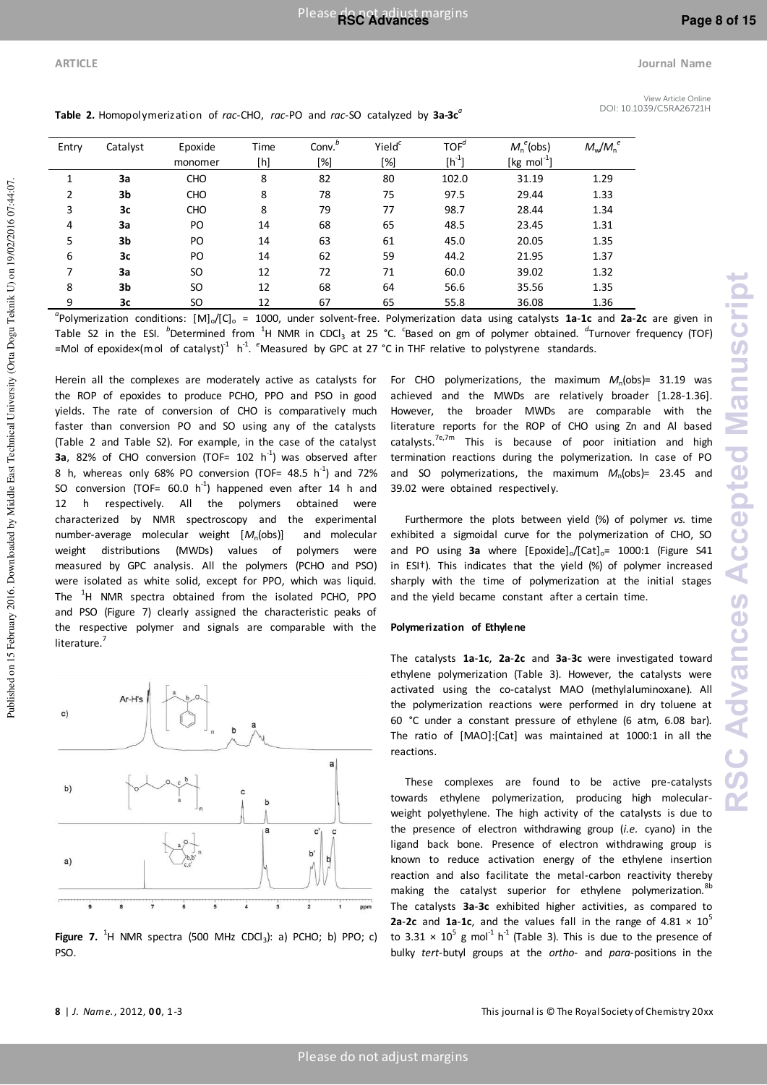View Article Online DOI: 10.1039/C5RA26721H

**Table 2.** Homopolymerization of *rac*-CHO, *rac*-PO and *rac*-SO catalyzed by **3a-3c***<sup>a</sup>*

| Entry | Catalyst | Epoxide<br>monomer | Time<br>[h] | Conv. <sup>b</sup><br>[%] | Yield <sup>c</sup><br>[%] | $TOF^{\alpha}$<br>$[h^{-1}]$ | $M_n^e$ (obs)<br>[kg mol <sup>-1</sup> ] | $M_w/M_n^e$ |
|-------|----------|--------------------|-------------|---------------------------|---------------------------|------------------------------|------------------------------------------|-------------|
|       | 3a       | <b>CHO</b>         | 8           | 82                        | 80                        | 102.0                        | 31.19                                    | 1.29        |
| 2     | 3b       | <b>CHO</b>         | 8           | 78                        | 75                        | 97.5                         | 29.44                                    | 1.33        |
| 3     | 3c       | <b>CHO</b>         | 8           | 79                        | 77                        | 98.7                         | 28.44                                    | 1.34        |
| 4     | 3a       | PO                 | 14          | 68                        | 65                        | 48.5                         | 23.45                                    | 1.31        |
| 5     | 3b       | PO                 | 14          | 63                        | 61                        | 45.0                         | 20.05                                    | 1.35        |
| 6     | 3c       | PO                 | 14          | 62                        | 59                        | 44.2                         | 21.95                                    | 1.37        |
| 7     | 3a       | SO.                | 12          | 72                        | 71                        | 60.0                         | 39.02                                    | 1.32        |
| 8     | 3b       | SO                 | 12          | 68                        | 64                        | 56.6                         | 35.56                                    | 1.35        |
| 9     | 3c       | SO.                | 12          | 67                        | 65                        | 55.8                         | 36.08                                    | 1.36        |

<sup>a</sup>Polymerization conditions: [M]<sub>o</sub>/[C]<sub>o</sub> = 1000, under solvent-free. Polymerization data using catalysts 1a-1c and 2a-2c are given in Table S2 in the ESI. <sup>b</sup>Determined from <sup>1</sup>H NMR in CDCl<sub>3</sub> at 25 °C. <sup>c</sup>Based on gm of polymer obtained. <sup>d</sup>Turnover frequency (TOF) =Mol of epoxide×(mol of catalyst)<sup>1</sup> h<sup>-1</sup>. <sup>e</sup>Measured by GPC at 27 °C in THF relative to polystyrene standards.

Herein all the complexes are moderately active as catalysts for the ROP of epoxides to produce PCHO, PPO and PSO in good yields. The rate of conversion of CHO is comparatively much faster than conversion PO and SO using any of the catalysts (Table 2 and Table S2). For example, in the case of the catalyst **3a**, 82% of CHO conversion (TOF= 102 h<sup>-1</sup>) was observed after 8 h, whereas only 68% PO conversion (TOF= 48.5  $h^{-1}$ ) and 72% SO conversion (TOF=  $60.0 h^{-1}$ ) happened even after 14 h and 12 h respectively. All the polymers obtained were characterized by NMR spectroscopy and the experimental number-average molecular weight [*M*n(obs)] and molecular weight distributions (MWDs) values of polymers were measured by GPC analysis. All the polymers (PCHO and PSO) were isolated as white solid, except for PPO, which was liquid. The  $1$ <sup>H</sup> NMR spectra obtained from the isolated PCHO, PPO and PSO (Figure 7) clearly assigned the characteristic peaks of the respective polymer and signals are comparable with the literature.<sup>7</sup>



**Figure 7.** <sup>1</sup>H NMR spectra (500 MHz CDCl<sub>3</sub>): a) PCHO; b) PPO; c) PSO.

For CHO polymerizations, the maximum *M*<sub>n</sub>(obs)= 31.19 was achieved and the MWDs are relatively broader [1.28-1.36]. However, the broader MWDs are comparable with the literature reports for the ROP of CHO using Zn and Al based catalysts.<sup>7e,7m</sup> This is because of poor initiation and high termination reactions during the polymerization. In case of PO and SO polymerizations, the maximum  $M_n$ (obs)= 23.45 and 39.02 were obtained respectively.

Furthermore the plots between yield (%) of polymer *vs*. time exhibited a sigmoidal curve for the polymerization of CHO, SO and PO using 3a where [Epoxide]<sub>o</sub>/[Cat]<sub>o</sub>= 1000:1 (Figure S41 in ESI†). This indicates that the yield (%) of polymer increased sharply with the time of polymerization at the initial stages and the yield became constant after a certain time.

#### **Polymerization of Ethylene**

The catalysts **1a**-**1c**, **2a**-**2c** and **3a**-**3c** were investigated toward ethylene polymerization (Table 3). However, the catalysts were activated using the co-catalyst MA[O \(methylaluminoxane\).](https://www.google.co.in/url?sa=t&rct=j&q=&esrc=s&source=web&cd=1&cad=rja&uact=8&sqi=2&ved=0CB0QFjAAahUKEwitxbyUoJHHAhVBj44KHax1AMc&url=https%3A%2F%2Fen.wikipedia.org%2Fwiki%2FMethylaluminoxane&ei=paTBVe3eIcGeugSs64G4DA&usg=AFQjCNFOPOI44JEhqro2TK9gwUyfqB8VNA&bvm=bv.99261572,d.c2E) All the polymerization reactions were performed in dry toluene at 60 °C under a constant pressure of ethylene (6 atm, 6.08 bar). The ratio of [MAO]:[Cat] was maintained at 1000:1 in all the reactions.

 These complexes are found to be active pre-catalysts towards ethylene polymerization, producing high molecularweight polyethylene. The high activity of the catalysts is due to the presence of electron withdrawing group (*i.e.* cyano) in the ligand back bone. Presence of electron withdrawing group is known to reduce activation energy of the ethylene insertion reaction and also facilitate the metal-carbon reactivity thereby making the catalyst superior for ethylene polymerization.<sup>8b</sup> The catalysts **3a**-**3c** exhibited higher activities, as compared to **2a-2c** and **1a-1c**, and the values fall in the range of  $4.81 \times 10^5$ to 3.31  $\times$  10<sup>5</sup> g mol<sup>-1</sup> h<sup>-1</sup> (Table 3). This is due to the presence of bulky *tert*-butyl groups at the *ortho*- and *para*-positions in the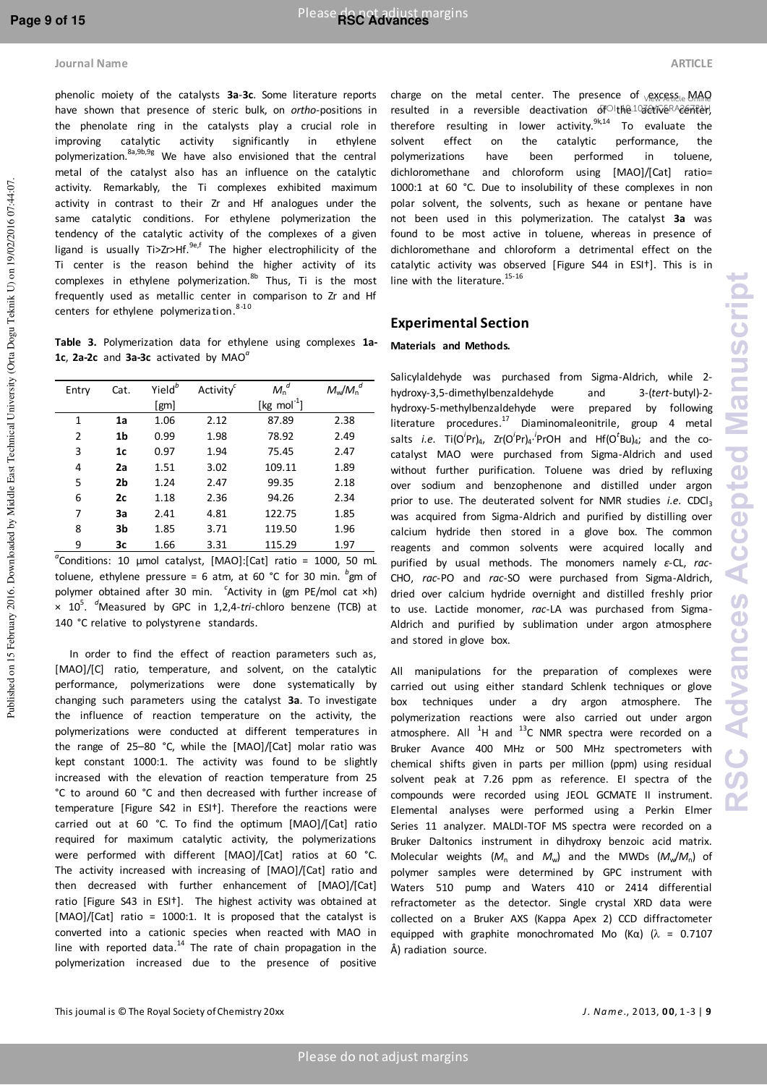Published on 15 February 2016. Downloaded by Middle East Technical University (Orta Dogu Teknik U) on 19/02/2016 07:44:07. Published on 15 February 2016. Downloaded by Middle East Technical University (Orta Dogu Teknik U) on 19/02/2016 07:44:07.

#### **Journal Name ARTICLE ARTICLE**

phenolic moiety of the catalysts **3a**-**3c**. Some literature reports have shown that presence of steric bulk, on *ortho*-positions in the phenolate ring in the catalysts play a crucial role in improving catalytic activity significantly in ethylene polymerization. 8a,9b,9g We have also envisioned that the central metal of the catalyst also has an influence on the catalytic activity. Remarkably, the Ti complexes exhibited maximum activity in contrast to their Zr and Hf analogues under the same catalytic conditions. For ethylene polymerization the tendency of the catalytic activity of the complexes of a given ligand is usually Ti>Zr>Hf.<sup>9e,f</sup> The higher electrophilicity of the Ti center is the reason behind the higher activity of its complexes in ethylene polymerization.<sup>8b</sup> Thus, Ti is the most frequently used as metallic center in comparison to Zr and Hf centers for ethylene polymerization. $8 - 10$ 

**Table 3.** Polymerization data for ethylene using complexes **1a-1c**, **2a-2c** and **3a-3c** activated by MAO*<sup>a</sup>*

| Entry | Cat.           | Yield <sup>b</sup> | Activity $c$ | $M_n^d$                 | $M_w/M_n^d$ |
|-------|----------------|--------------------|--------------|-------------------------|-------------|
|       |                | [gm]               |              | [kg mol <sup>-1</sup> ] |             |
| 1     | 1a             | 1.06               | 2.12         | 87.89                   | 2.38        |
| 2     | 1b             | 0.99               | 1.98         | 78.92                   | 2.49        |
| 3     | 1c             | 0.97               | 1.94         | 75.45                   | 2.47        |
| 4     | 2a             | 1.51               | 3.02         | 109.11                  | 1.89        |
| 5     | 2 <sub>b</sub> | 1.24               | 2.47         | 99.35                   | 2.18        |
| 6     | 2c             | 1.18               | 2.36         | 94.26                   | 2.34        |
| 7     | 3a             | 2.41               | 4.81         | 122.75                  | 1.85        |
| 8     | 3b             | 1.85               | 3.71         | 119.50                  | 1.96        |
| 9     | 3c             | 1.66               | 3.31         | 115.29                  | 1.97        |

*a* Conditions: 10 μmol catalyst, [MAO]:[Cat] ratio = 1000, 50 mL toluene, ethylene pressure = 6 atm, at 60 °C for 30 min. <sup>b</sup>gm of polymer obtained after 30 min. *<sup>c</sup>* Activity in (gm PE/mol cat ×h) × 10<sup>5</sup> . *<sup>d</sup>*Measured by GPC in 1,2,4-*tri*-chloro benzene (TCB) at 140 °C relative to polystyrene standards.

 In order to find the effect of reaction parameters such as, [MAO]/[C] ratio, temperature, and solvent, on the catalytic performance, polymerizations were done systematically by changing such parameters using the catalyst **3a**. To investigate the influence of reaction temperature on the activity, the polymerizations were conducted at different temperatures in the range of 25–80 °C, while the [MAO]/[Cat] molar ratio was kept constant 1000:1. The activity was found to be slightly increased with the elevation of reaction temperature from 25 °C to around 60 °C and then decreased with further increase of temperature [Figure S42 in ESI†]. Therefore the reactions were carried out at 60 °C. To find the optimum [MAO]/[Cat] ratio required for maximum catalytic activity, the polymerizations were performed with different [MAO]/[Cat] ratios at 60 °C. The activity increased with increasing of [MAO]/[Cat] ratio and then decreased with further enhancement of [MAO]/[Cat] ratio [Figure S43 in ESI†]. The highest activity was obtained at [MAO]/[Cat] ratio = 1000:1. It is proposed that the catalyst is converted into a cationic species when reacted with MAO in line with reported data.<sup>14</sup> The rate of chain propagation in the polymerization increased due to the presence of positive

charge on the metal center. The presence of <sub>VEXCRSSLe</sub> MAQ resulted in a reversible deactivation of the 103etive RA26 heef, therefore resulting in lower activity. $9k,14$  To evaluate the solvent effect on the catalytic performance, the polymerizations have been performed in toluene, dichloromethane and chloroform using [MAO]/[Cat] ratio= 1000:1 at 60 °C. Due to insolubility of these complexes in non polar solvent, the solvents, such as hexane or pentane have not been used in this polymerization. The catalyst **3a** was found to be most active in toluene, whereas in presence of dichloromethane and chloroform a detrimental effect on the catalytic activity was observed [Figure S44 in ESI†]. This is in line with the literature. $15-16$ 

#### **Experimental Section**

#### **Materials and Methods.**

Salicylaldehyde was purchased from Sigma-Aldrich, while 2 hydroxy-3,5-dimethylbenzaldehyde and 3-(*tert*-butyl)-2 hydroxy-5-methylbenzaldehyde were prepared by following literature procedures.<sup>17</sup> Diaminomaleonitrile, group 4 metal salts *i.e.* Ti(O<sup>'</sup>Pr)<sub>4</sub>, Zr(O<sup>'</sup>Pr)<sub>4</sub><sup>, '</sup>PrOH and Hf(O<sup>t</sup>Bu)<sub>4</sub>; and the cocatalyst MAO were purchased from Sigma-Aldrich and used without further purification. Toluene was dried by refluxing over sodium and benzophenone and distilled under argon prior to use. The deuterated solvent for NMR studies *i.e.* CDCl<sub>3</sub> was acquired from Sigma-Aldrich and purified by distilling over calcium hydride then stored in a glove box. The common reagents and common solvents were acquired locally and purified by usual methods. The monomers namely *ε*-CL, *rac*-CHO, *rac*-PO and *rac*-SO were purchased from Sigma-Aldrich, dried over calcium hydride overnight and distilled freshly prior to use. Lactide monomer, *rac*-LA was purchased from Sigma-Aldrich and purified by sublimation under argon atmosphere and stored in glove box.

All manipulations for the preparation of complexes were carried out using either standard Schlenk techniques or glove box techniques under a dry argon atmosphere. The polymerization reactions were also carried out under argon atmosphere. All  $^{1}$ H and  $^{13}$ C NMR spectra were recorded on a Bruker Avance 400 MHz or 500 MHz spectrometers with chemical shifts given in parts per million (ppm) using residual solvent peak at 7.26 ppm as reference. EI spectra of the compounds were recorded using JEOL GCMATE II instrument. Elemental analyses were performed using a Perkin Elmer Series 11 analyzer. MALDI-TOF MS spectra were recorded on a Bruker Daltonics instrument in dihydroxy benzoic acid matrix. Molecular weights  $(M_n \text{ and } M_w)$  and the MWDs  $(M_w/M_n)$  of polymer samples were determined by GPC instrument with Waters 510 pump and Waters 410 or 2414 differential refractometer as the detector. Single crystal XRD data were collected on a Bruker AXS (Kappa Apex 2) CCD diffractometer equipped with graphite monochromated Mo (K $\alpha$ ) ( $\lambda$  = 0.7107 Å) radiation source.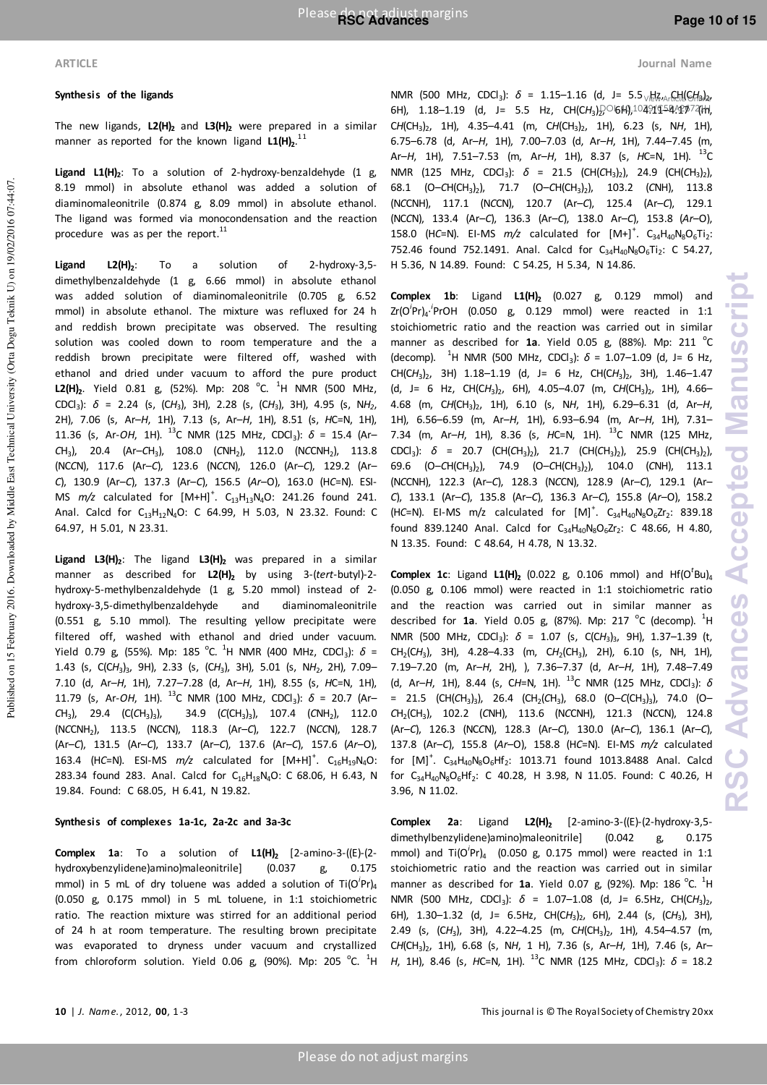#### **ARTICLE Journal Name**

#### **Synthesis of the ligands**

The new ligands, **L2(H)<sup>2</sup>** and **L3(H)2** were prepared in a similar manner as reported for the known ligand L1(H)<sub>2</sub>.<sup>11</sup>

Ligand L1(H)<sub>2</sub>: To a solution of 2-hydroxy-benzaldehyde (1 g, 8.19 mmol) in absolute ethanol was added a solution of diaminomaleonitrile (0.874 g, 8.09 mmol) in absolute ethanol. The ligand was formed via monocondensation and the reaction procedure was as per the report. $^{11}$ 

**Ligand L2(H)2**: To a solution of 2-hydroxy-3,5 dimethylbenzaldehyde (1 g, 6.66 mmol) in absolute ethanol was added solution of diaminomaleonitrile (0.705 g, 6.52 mmol) in absolute ethanol. The mixture was refluxed for 24 h and reddish brown precipitate was observed. The resulting solution was cooled down to room temperature and the a reddish brown precipitate were filtered off, washed with ethanol and dried under vacuum to afford the pure product **L2(H)**<sub>2</sub>. Yield 0.81 g, (52%). Mp: 208 <sup>o</sup>C. <sup>1</sup>H NMR (500 MHz, CDCl<sub>3</sub>):  $\delta$  = 2.24 (s, (CH<sub>3</sub>), 3H), 2.28 (s, (CH<sub>3</sub>), 3H), 4.95 (s, NH<sub>2</sub>, 2H), 7.06 (s, Ar–*H*, 1H), 7.13 (s, Ar–*H*, 1H), 8.51 (s, *H*C=N, 1H), 11.36 (s, Ar-*OH*, 1H). <sup>13</sup>C NMR (125 MHz, CDCl<sub>3</sub>): δ = 15.4 (Ar-*C*H<sup>3</sup> ), 20.4 (Ar–*C*H<sup>3</sup> ), 108.0 (*C*NH<sup>2</sup> ), 112.0 (N*C*CNH<sup>2</sup> ), 113.8 (NC*C*N), 117.6 (Ar–*C*), 123.6 (N*CC*N), 126.0 (Ar–*C*), 129.2 (Ar– *C*), 130.9 (Ar–*C*), 137.3 (Ar–*C*), 156.5 (*Ar*–O), 163.0 (H*C*=N). ESI-MS  $m/z$  calculated for  $[M+H]^+$ .  $C_{13}H_{13}N_4O$ : 241.26 found 241. Anal. Calcd for  $C_{13}H_{12}N_4O$ : C 64.99, H 5.03, N 23.32. Found: C 64.97, H 5.01, N 23.31.

**Ligand L3(H)2**: The ligand **L3(H)<sup>2</sup>** was prepared in a similar manner as described for L2(H)<sub>2</sub> by using 3-(tert-butyl)-2hydroxy-5-methylbenzaldehyde (1 g, 5.20 mmol) instead of 2 hydroxy-3,5-dimethylbenzaldehyde and diaminomaleonitrile (0.551 g, 5.10 mmol). The resulting yellow precipitate were filtered off, washed with ethanol and dried under vacuum. Yield 0.79 g, (55%). Mp: 185 <sup>o</sup>C. <sup>1</sup>H NMR (400 MHz, CDCl<sub>3</sub>):  $\delta$  = 1.43 (s, C(CH<sub>3</sub>)<sub>3</sub>, 9H), 2.33 (s, (CH<sub>3</sub>), 3H), 5.01 (s, NH<sub>2</sub>, 2H), 7.09– 7.10 (d, Ar–*H*, 1H), 7.27–7.28 (d, Ar–*H*, 1H), 8.55 (s, *H*C=N, 1H), 11.79 (s, Ar-*OH*, 1H). <sup>13</sup>C NMR (100 MHz, CDCl<sub>3</sub>): δ = 20.7 (Ar-*C*H3), 29.4 (C(*C*H3)3), 34.9 (*C*(CH3)3), 107.4 (*C*NH2), 112.0 (N*C*CNH2), 113.5 (NC*C*N), 118.3 (Ar–*C*), 122.7 (N*CC*N), 128.7 (Ar–*C*), 131.5 (Ar–*C*), 133.7 (Ar–*C*), 137.6 (Ar–*C*), 157.6 (*Ar*–O), 163.4 (HC=N). ESI-MS  $m/z$  calculated for  $[M+H]^+$ . C<sub>16</sub>H<sub>19</sub>N<sub>4</sub>O: 283.34 found 283. Anal. Calcd for  $C_{16}H_{18}N_4O$ : C 68.06, H 6.43, N 19.84. Found: C 68.05, H 6.41, N 19.82.

#### **Synthesis of complexes 1a-1c, 2a-2c and 3a-3c**

**Complex 1a**: To a solution of **L1(H)2** [2-amino-3-((E)-(2 hydroxybenzylidene)amino)maleonitrile] (0.037 g, 0.175 mmol) in 5 mL of dry toluene was added a solution of Ti(O<sup>'p</sup>r)<sub>4</sub> (0.050 g, 0.175 mmol) in 5 mL toluene, in 1:1 stoichiometric ratio. The reaction mixture was stirred for an additional period of 24 h at room temperature. The resulting brown precipitate was evaporated to dryness under vacuum and crystallized from chloroform solution. Yield 0.06 g, (90%). Mp: 205  $^{\circ}$ C.  $^{1}$ H

NMR (500 MHz, CDCl<sub>3</sub>): δ = 1.15−1.16 (d, J= 5.5<sub>∨i</sub>U<sub>α</sub>,<sub>Ar</sub>CH(GH<sub>3</sub>)<sub>2</sub>, 6H),  $1.18-1.19$  (d, J= 5.5 Hz,  $CH(CH_3)$ <sup>O</sup>6H),  $104919-54$ C*H*(CH3)2, 1H), 4.35–4.41 (m, C*H*(CH3)2, 1H), 6.23 (s, N*H*, 1H), 6.75–6.78 (d, Ar–*H*, 1H), 7.00–7.03 (d, Ar–*H*, 1H), 7.44–7.45 (m, Ar–*H*, 1H), 7.51–7.53 (m, Ar–*H*, 1H), 8.37 (s, *H*C=N, 1H). <sup>13</sup>C NMR (125 MHz, CDCl<sub>3</sub>):  $\delta$  = 21.5 (CH(CH<sub>3</sub>)<sub>2</sub>), 24.9 (CH(CH<sub>3</sub>)<sub>2</sub>), 68.1 (O–*C*H(CH3)2), 71.7 (O–*C*H(CH3)2), 103.2 (*C*NH), 113.8 (N*C*CNH), 117.1 (N*C*CN), 120.7 (Ar–*C*), 125.4 (Ar–*C*), 129.1 (NC*C*N), 133.4 (Ar–*C*), 136.3 (Ar–*C*), 138.0 Ar–*C*), 153.8 (*Ar*–O), 158.0 (HC=N). EI-MS  $m/z$  calculated for  $[M+]^{+}$ .  $C_{34}H_{40}N_8O_6Ti_2$ : 752.46 found 752.1491. Anal. Calcd for  $C_{34}H_{40}N_8O_6Ti_2$ : C 54.27, H 5.36, N 14.89. Found: C 54.25, H 5.34, N 14.86.

**Complex 1b**: Ligand **L1(H)2** (0.027 g, 0.129 mmol) and Zr(O*<sup>i</sup>* Pr)4· *i* PrOH (0.050 g, 0.129 mmol) were reacted in 1:1 stoichiometric ratio and the reaction was carried out in similar manner as described for **1a**. Yield 0.05 g, (88%). Mp: 211 °C (decomp). <sup>1</sup>H NMR (500 MHz, CDCl<sub>3</sub>):  $\delta$  = 1.07–1.09 (d, J= 6 Hz,  $CH(CH_3)$ , 3H) 1.18–1.19 (d, J= 6 Hz,  $CH(CH_3)$ , 3H), 1.46–1.47 (d, J= 6 Hz, CH(CH<sub>3</sub>)<sub>2</sub>, 6H), 4.05–4.07 (m, CH(CH<sub>3</sub>)<sub>2</sub>, 1H), 4.66– 4.68 (m, C*H*(CH3)2, 1H), 6.10 (s, N*H*, 1H), 6.29–6.31 (d, Ar–*H*, 1H), 6.56–6.59 (m, Ar–*H*, 1H), 6.93–6.94 (m, Ar–*H*, 1H), 7.31– 7.34 (m, Ar–*H*, 1H), 8.36 (s, *H*C=N, 1H). <sup>13</sup>C NMR (125 MHz, CDCl<sub>3</sub>):  $\delta$  = 20.7 (CH(CH<sub>3</sub>)<sub>2</sub>), 21.7 (CH(CH<sub>3</sub>)<sub>2</sub>), 25.9 (CH(CH<sub>3</sub>)<sub>2</sub>), 69.6 (O–*C*H(CH3)2), 74.9 (O–*C*H(CH3)2), 104.0 (*C*NH), 113.1 (N*C*CNH), 122.3 (Ar–*C*), 128.3 (N*C*CN), 128.9 (Ar–*C*), 129.1 (Ar– *C*), 133.1 (Ar–*C*), 135.8 (Ar–*C*), 136.3 Ar–*C*), 155.8 (*Ar*–O), 158.2 (HC=N). EI-MS m/z calculated for  $[M]^+$ .  $C_{34}H_{40}N_8O_6Zr_2$ : 839.18 found 839.1240 Anal. Calcd for  $C_{34}H_{40}N_8O_6Zr_2$ : C 48.66, H 4.80, N 13.35. Found: C 48.64, H 4.78, N 13.32.

**Complex 1c**: Ligand L1(H)<sub>2</sub> (0.022 g, 0.106 mmol) and Hf(O<sup>t</sup>Bu)<sub>4</sub> (0.050 g, 0.106 mmol) were reacted in 1:1 stoichiometric ratio and the reaction was carried out in similar manner as described for  $1a$ . Yield 0.05 g, (87%). Mp: 217  $^{\circ}$ C (decomp). <sup>1</sup>H NMR (500 MHz, CDCl3): *δ* = 1.07 (s, C(C*H*3)3, 9H), 1.37–1.39 (t, CH2(C*H*3), 3H), 4.28–4.33 (m, C*H*2(CH3), 2H), 6.10 (s, NH, 1H), 7.19–7.20 (m, Ar–*H*, 2H), ), 7.36–7.37 (d, Ar–*H*, 1H), 7.48–7.49 (d, Ar–*H*, 1H), 8.44 (s, C*H*=N, 1H). <sup>13</sup>C NMR (125 MHz, CDCl3): *δ* = 21.5 (CH(*C*H3)3), 26.4 (CH2(*C*H3), 68.0 (O–*C*(CH3)3), 74.0 (O– *C*H2(CH3), 102.2 (*C*NH), 113.6 (N*C*CNH), 121.3 (N*C*CN), 124.8 (Ar–*C*), 126.3 (NC*C*N), 128.3 (Ar–*C*), 130.0 (Ar–*C*), 136.1 (Ar–*C*), 137.8 (Ar–*C*), 155.8 (*Ar*–O), 158.8 (H*C*=N). EI-MS *m/z* calculated for  $[M]^+$ .  $C_{34}H_{40}N_8O_6Hf_2$ : 1013.71 found 1013.8488 Anal. Calcd for  $C_{34}H_{40}N_8O_6H_2$ : C 40.28, H 3.98, N 11.05. Found: C 40.26, H 3.96, N 11.02.

**Complex 2a**: Ligand **L2(H)2** [2-amino-3-((E)-(2-hydroxy-3,5 dimethylbenzylidene)amino)maleonitrile] (0.042 g, 0.175 mmol) and Ti(O*<sup>i</sup>* Pr)4 (0.050 g, 0.175 mmol) were reacted in 1:1 stoichiometric ratio and the reaction was carried out in similar manner as described for  $1a$ . Yield 0.07 g, (92%). Mp: 186  $^{\circ}$ C.  $^{1}$ H NMR (500 MHz, CDCl<sub>3</sub>): δ = 1.07-1.08 (d, J= 6.5Hz, CH(CH<sub>3</sub>)<sub>2</sub>, 6H),  $1.30-1.32$  (d, J= 6.5Hz, CH(CH<sub>3</sub>)<sub>2</sub>, 6H), 2.44 (s, (CH<sub>3</sub>), 3H), 2.49 (s, (C*H*3), 3H), 4.22–4.25 (m, C*H*(CH3)2, 1H), 4.54–4.57 (m, C*H*(CH3)2, 1H), 6.68 (s, N*H*, 1 H), 7.36 (s, Ar–*H*, 1H), 7.46 (s, Ar– *H*, 1H), 8.46 (s, *H*C=N, 1H). <sup>13</sup>C NMR (125 MHz, CDCl<sub>3</sub>):  $\delta$  = 18.2

Published on 15 February 2016. Downloaded by Middle East Technical University (Orta Dogu Teknik U) on 19/02/2016 07:44:07. Published on 15 February 2016. Downloaded by Middle East Technical University (Orta Dogu Teknik U) on 19/02/2016 07:44:07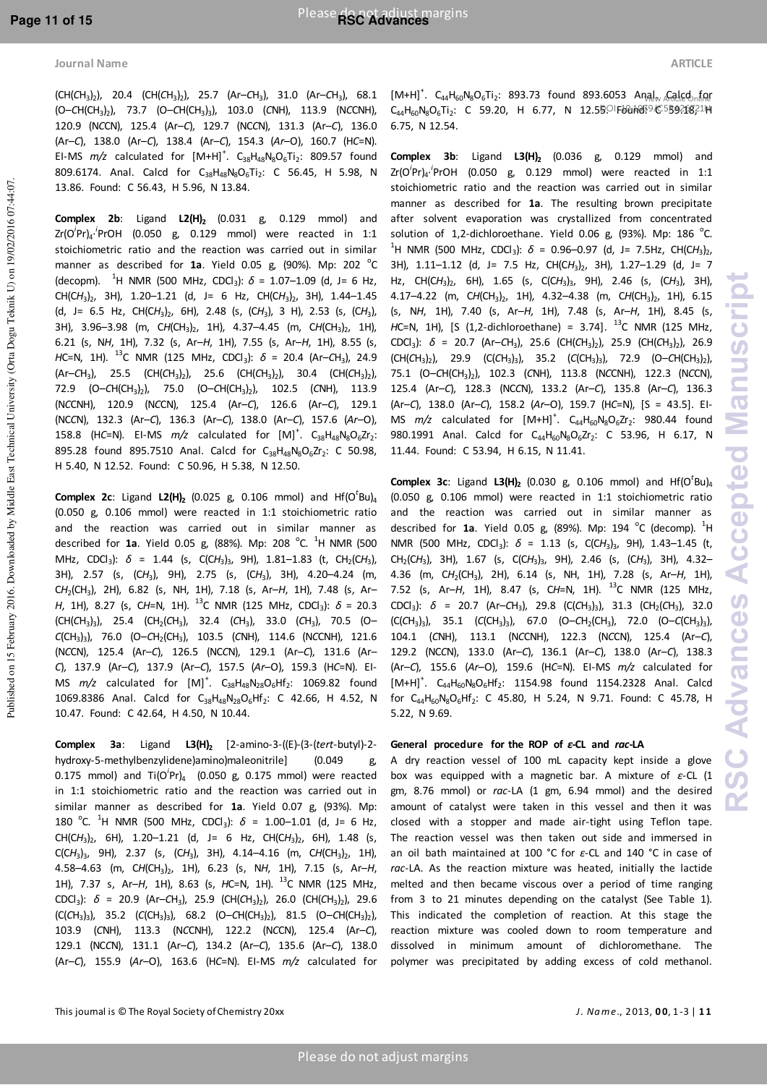#### **Journal Name ARTICLE ARTICLE**

(CH(*C*H3)2), 20.4 (CH(*C*H3)2), 25.7 (Ar–*C*H3), 31.0 (Ar–*C*H3), 68.1 (O–*C*H(CH3)2), 73.7 (O–*C*H(CH3)3), 103.0 (*C*NH), 113.9 (N*C*CNH), 120.9 (N*C*CN), 125.4 (Ar–*C*), 129.7 (NC*C*N), 131.3 (Ar–*C*), 136.0 (Ar–*C*), 138.0 (Ar–*C*), 138.4 (Ar–*C*), 154.3 (*Ar*–O), 160.7 (H*C*=N). EI-MS  $m/z$  calculated for  $[M+H]^+$ .  $C_{38}H_{48}N_8O_6Ti_2$ : 809.57 found 809.6174. Anal. Calcd for  $C_{38}H_{48}N_8O_6Ti_2$ : C 56.45, H 5.98, N 13.86. Found: C 56.43, H 5.96, N 13.84.

**Complex 2b**: Ligand **L2(H)2** (0.031 g, 0.129 mmol) and Zr(O*<sup>i</sup>* Pr)4· *i* PrOH (0.050 g, 0.129 mmol) were reacted in 1:1 stoichiometric ratio and the reaction was carried out in similar manner as described for **1a**. Yield 0.05 g, (90%). Mp: 202 <sup>o</sup>C (decopm). <sup>1</sup>H NMR (500 MHz, CDCl<sub>3</sub>):  $\delta$  = 1.07–1.09 (d, J= 6 Hz, CH(CH<sub>3</sub>)<sub>2</sub>, 3H), 1.20–1.21 (d, J= 6 Hz, CH(CH<sub>3</sub>)<sub>2</sub>, 3H), 1.44–1.45 (d, J= 6.5 Hz, CH(CH<sub>3</sub>)<sub>2</sub>, 6H), 2.48 (s, (CH<sub>3</sub>), 3 H), 2.53 (s, (CH<sub>3</sub>), 3H), 3.96–3.98 (m, CH(CH<sub>3</sub>)<sub>2</sub>, 1H), 4.37–4.45 (m, CH(CH<sub>3</sub>)<sub>2</sub>, 1H), 6.21 (s, N*H*, 1H), 7.32 (s, Ar–*H*, 1H), 7.55 (s, Ar–*H*, 1H), 8.55 (s, *H*C=N, 1H). <sup>13</sup>C NMR (125 MHz, CDCl3): *δ* = 20.4 (Ar–*C*H3), 24.9 (Ar–*C*H3), 25.5 (CH(*C*H3)2), 25.6 (CH(*C*H3)2), 30.4 (CH(*C*H3)2), 72.9 (O–*C*H(CH3)2), 75.0 (O–*C*H(CH3)2), 102.5 (*C*NH), 113.9 (N*C*CNH), 120.9 (N*C*CN), 125.4 (Ar–*C*), 126.6 (Ar–*C*), 129.1 (NC*C*N), 132.3 (Ar–*C*), 136.3 (Ar–*C*), 138.0 (Ar–*C*), 157.6 (*Ar*–O), 158.8 (HC=N). EI-MS  $m/z$  calculated for  $[M]^+$ .  $C_{38}H_{48}N_8O_6Zr_2$ : 895.28 found 895.7510 Anal. Calcd for  $C_{38}H_{48}N_8O_6Zr_2$ : C 50.98, H 5.40, N 12.52. Found: C 50.96, H 5.38, N 12.50.

**Complex 2c**: Ligand **L2(H)2** (0.025 g, 0.106 mmol) and Hf(O*<sup>t</sup>* Bu)<sup>4</sup> (0.050 g, 0.106 mmol) were reacted in 1:1 stoichiometric ratio and the reaction was carried out in similar manner as described for **1a**. Yield 0.05 g, (88%). Mp: 208 <sup>o</sup>C. <sup>1</sup>H NMR (500 MHz, CDCl<sub>3</sub>):  $\delta$  = 1.44 (s, C(CH<sub>3</sub>)<sub>3</sub>, 9H), 1.81–1.83 (t, CH<sub>2</sub>(CH<sub>3</sub>), 3H), 2.57 (s, (C*H*3), 9H), 2.75 (s, (C*H*3), 3H), 4.20–4.24 (m, C*H*2(CH3), 2H), 6.82 (s, NH, 1H), 7.18 (s, Ar–*H*, 1H), 7.48 (s, Ar– *H*, 1H), 8.27 (s, CH=N, 1H). <sup>13</sup>C NMR (125 MHz, CDCl<sub>3</sub>):  $\delta$  = 20.3 (CH(*C*H3)3), 25.4 (CH2(*C*H3), 32.4 (*C*H3), 33.0 (*C*H3), 70.5 (O– *C*(CH3)3), 76.0 (O–*C*H2(CH3), 103.5 (*C*NH), 114.6 (N*C*CNH), 121.6 (N*C*CN), 125.4 (Ar–*C*), 126.5 (NC*C*N), 129.1 (Ar–*C*), 131.6 (Ar– *C*), 137.9 (Ar–*C*), 137.9 (Ar–*C*), 157.5 (*Ar*–O), 159.3 (H*C*=N). EI-MS  $m/z$  calculated for  $[M]^+$ .  $C_{38}H_{48}N_{28}O_6H_2$ : 1069.82 found 1069.8386 Anal. Calcd for  $C_{38}H_{48}N_{28}O_6H_2$ : C 42.66, H 4.52, N 10.47. Found: C 42.64, H 4.50, N 10.44.

**Complex 3a**: Ligand **L3(H)2** [2-amino-3-((E)-(3-(*tert*-butyl)-2 hydroxy-5-methylbenzylidene)amino)maleonitrile] (0.049 g, 0.175 mmol) and Ti(O*<sup>i</sup>* Pr)4 (0.050 g, 0.175 mmol) were reacted in 1:1 stoichiometric ratio and the reaction was carried out in similar manner as described for **1a**. Yield 0.07 g, (93%). Mp: 180<sup>o</sup>C. <sup>1</sup>H NMR (500 MHz, CDCl<sub>3</sub>):  $\delta$  = 1.00–1.01 (d, J= 6 Hz, CH(C*H*3)2, 6H), 1.20–1.21 (d, J= 6 Hz, CH(C*H*3)2, 6H), 1.48 (s,  $C(CH_3)_3$ , 9H), 2.37 (s,  $(CH_3)$ , 3H), 4.14–4.16 (m,  $CH(CH_3)_2$ , 1H), 4.58–4.63 (m, C*H*(CH3)2, 1H), 6.23 (s, N*H*, 1H), 7.15 (s, Ar–*H*, 1H), 7.37 s, Ar–*H*, 1H), 8.63 (s, *H*C=N, 1H). <sup>13</sup>C NMR (125 MHz, CDCl3): *δ* = 20.9 (Ar–*C*H3), 25.9 (CH(*C*H3)2), 26.0 (CH(*C*H3)2), 29.6  $(C(CH_3)_3)$ , 35.2  $(C(CH_3)_3)$ , 68.2  $(O-CH(CH_3)_2)$ , 81.5  $(O-CH(CH_3)_2)$ , 103.9 (*C*NH), 113.3 (N*C*CNH), 122.2 (N*C*CN), 125.4 (Ar–*C*), 129.1 (NC*C*N), 131.1 (Ar–*C*), 134.2 (Ar–*C*), 135.6 (Ar–*C*), 138.0 (Ar–*C*), 155.9 (*Ar*–O), 163.6 (H*C*=N). EI-MS *m/z* calculated for

 $[M+H]^+$ .  $C_{44}H_{60}N_8O_6Ti_2$ : 893.73 found 893.6053 Anal. Calco<sub>nfine</sub>  $C_{44}H_{60}N_8O_6Ti_2$ : C 59.20, H 6.77, N 12.55. Found: C 589218, 1H 6.75, N 12.54.

**Complex 3b**: Ligand **L3(H)2** (0.036 g, 0.129 mmol) and Zr(O*<sup>i</sup>* Pr)4· *i* PrOH (0.050 g, 0.129 mmol) were reacted in 1:1 stoichiometric ratio and the reaction was carried out in similar manner as described for **1a**. The resulting brown precipitate after solvent evaporation was crystallized from concentrated solution of 1,2-dichloroethane. Yield 0.06 g, (93%). Mp: 186  $^{\circ}$ C. <sup>1</sup>H NMR (500 MHz, CDCl<sub>3</sub>): δ = 0.96–0.97 (d, J= 7.5Hz, CH(CH<sub>3</sub>)<sub>2</sub>, 3H), 1.11-1.12 (d, J= 7.5 Hz, CH(CH<sub>3</sub>)<sub>2</sub>, 3H), 1.27-1.29 (d, J= 7 Hz, CH(C*H*3)2, 6H), 1.65 (s, C(C*H*3)3, 9H), 2.46 (s, (C*H*3), 3H), 4.17–4.22 (m, CH(CH<sub>3</sub>)<sub>2</sub>, 1H), 4.32–4.38 (m, CH(CH<sub>3</sub>)<sub>2</sub>, 1H), 6.15 (s, N*H*, 1H), 7.40 (s, Ar–*H*, 1H), 7.48 (s, Ar–*H*, 1H), 8.45 (s, *H*C=N, 1H), [S (1,2-dichloroethane) = 3.74]. <sup>13</sup>C NMR (125 MHz, CDCl<sub>3</sub>): δ = 20.7 (Ar–CH<sub>3</sub>), 25.6 (CH(CH<sub>3</sub>)<sub>2</sub>), 25.9 (CH(CH<sub>3</sub>)<sub>2</sub>), 26.9  $(CH(CH<sub>3</sub>)<sub>2</sub>),$  29.9  $(C(CH<sub>3</sub>)<sub>3</sub>),$  35.2  $(C(CH<sub>3</sub>)<sub>3</sub>),$  72.9  $(O-CH(CH<sub>3</sub>)<sub>2</sub>),$ 75.1 (O–*C*H(CH3)2), 102.3 (*C*NH), 113.8 (N*C*CNH), 122.3 (N*C*CN), 125.4 (Ar–*C*), 128.3 (NC*C*N), 133.2 (Ar–*C*), 135.8 (Ar–*C*), 136.3 (Ar–*C*), 138.0 (Ar–*C*), 158.2 (*Ar*–O), 159.7 (H*C*=N), [S = 43.5]. EI-MS  $m/z$  calculated for  $[M+H]^+$ .  $C_{44}H_{60}N_8O_6Zr_2$ : 980.44 found 980.1991 Anal. Calcd for C<sub>44</sub>H<sub>60</sub>N<sub>8</sub>O<sub>6</sub>Zr<sub>2</sub>: C 53.96, H 6.17, N 11.44. Found: C 53.94, H 6.15, N 11.41.

**Complex 3c**: Ligand L3(H)<sub>2</sub> (0.030 g, 0.106 mmol) and  $H(C^{t}Bu)_{4}$ (0.050 g, 0.106 mmol) were reacted in 1:1 stoichiometric ratio and the reaction was carried out in similar manner as described for **1a**. Yield 0.05 g, (89%). Mp: 194 <sup>o</sup>C (decomp). <sup>1</sup>H NMR (500 MHz, CDCl<sub>3</sub>):  $\delta$  = 1.13 (s, C(CH<sub>3</sub>)<sub>3</sub>, 9H), 1.43–1.45 (t, CH2(C*H*3), 3H), 1.67 (s, C(C*H*3)3, 9H), 2.46 (s, (C*H*3), 3H), 4.32– 4.36 (m, C*H*2(CH3), 2H), 6.14 (s, NH, 1H), 7.28 (s, Ar–*H*, 1H), 7.52 (s, Ar–*H*, 1H), 8.47 (s, C*H*=N, 1H). <sup>13</sup>C NMR (125 MHz, CDCl3): *δ* = 20.7 (Ar–*C*H3), 29.8 (C(*C*H3)3), 31.3 (CH2(*C*H3), 32.0 (C(*C*H3)3), 35.1 (*C*(CH3)3), 67.0 (O–*C*H2(CH3), 72.0 (O–*C*(CH3)3), 104.1 (*C*NH), 113.1 (N*C*CNH), 122.3 (N*C*CN), 125.4 (Ar–*C*), 129.2 (NC*C*N), 133.0 (Ar–*C*), 136.1 (Ar–*C*), 138.0 (Ar–*C*), 138.3 (Ar–*C*), 155.6 (*Ar*–O), 159.6 (H*C*=N). EI-MS *m/z* calculated for  $[M+H]^+$ .  $C_{44}H_{60}N_8O_6Hf_2$ : 1154.98 found 1154.2328 Anal. Calcd for  $C_{44}H_{60}N_8O_6Hf_2$ : C 45.80, H 5.24, N 9.71. Found: C 45.78, H 5.22, N 9.69.

#### **General procedure for the ROP of** *ε***-CL and** *rac***-LA**

A dry reaction vessel of 100 mL capacity kept inside a glove box was equipped with a magnetic bar. A mixture of *ε*-CL (1 gm, 8.76 mmol) or *rac*-LA (1 gm, 6.94 mmol) and the desired amount of catalyst were taken in this vessel and then it was closed with a stopper and made air-tight using Teflon tape. The reaction vessel was then taken out side and immersed in an oil bath maintained at 100 °C for *ε*-CL and 140 °C in case of *rac*-LA. As the reaction mixture was heated, initially the lactide melted and then became viscous over a period of time ranging from 3 to 21 minutes depending on the catalyst (See Table 1). This indicated the completion of reaction. At this stage the reaction mixture was cooled down to room temperature and dissolved in minimum amount of dichloromethane. The polymer was precipitated by adding excess of cold methanol.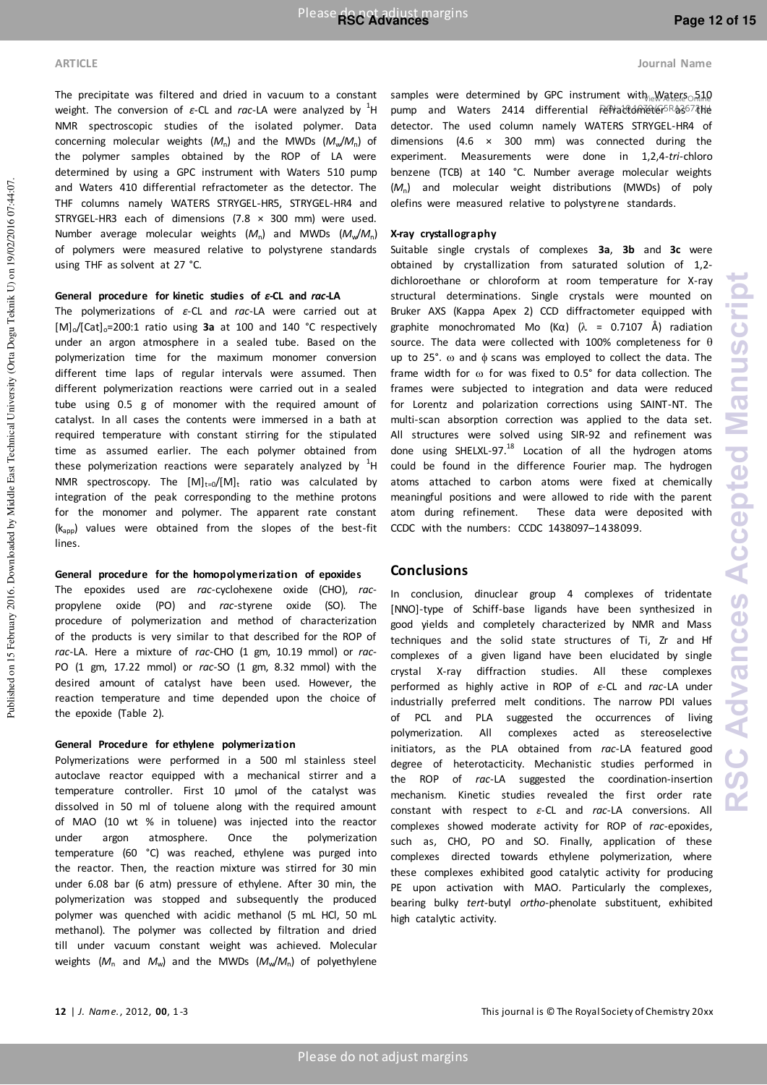#### **ARTICLE Journal Name**

Published on 15 February 2016. Downloaded by Middle East Technical University (Orta Dogu Teknik U) on 19/02/2016 07:44:07. Published on 15 February 2016. Downloaded by Middle East Technical University (Orta Dogu Teknik U) on 19/02/2016 07:44:07

The precipitate was filtered and dried in vacuum to a constant weight. The conversion of *ε*-CL and *rac*-LA were analyzed by <sup>1</sup>H NMR spectroscopic studies of the isolated polymer. Data concerning molecular weights  $(M_n)$  and the MWDs  $(M_m/M_n)$  of the polymer samples obtained by the ROP of LA were determined by using a GPC instrument with Waters 510 pump and Waters 410 differential refractometer as the detector. The THF columns namely WATERS STRYGEL-HR5, STRYGEL-HR4 and STRYGEL-HR3 each of dimensions (7.8 × 300 mm) were used. Number average molecular weights  $(M_n)$  and MWDs  $(M_w/M_n)$ of polymers were measured relative to polystyrene standards using THF as solvent at 27 °C.

#### **General procedure for kinetic studies of** *ε***-CL and** *rac***-LA**

The polymerizations of *ε*-CL and *rac*-LA were carried out at [M]<sub>o</sub>/[Cat]<sub>o</sub>=200:1 ratio using **3a** at 100 and 140 °C respectively under an argon atmosphere in a sealed tube. Based on the polymerization time for the maximum monomer conversion different time laps of regular intervals were assumed. Then different polymerization reactions were carried out in a sealed tube using 0.5 g of monomer with the required amount of catalyst. In all cases the contents were immersed in a bath at required temperature with constant stirring for the stipulated time as assumed earlier. The each polymer obtained from these polymerization reactions were separately analyzed by  ${}^{1}$ H NMR spectroscopy. The  $[M]_{t=0}/[M]_t$  ratio was calculated by integration of the peak corresponding to the methine protons for the monomer and polymer. The apparent rate constant  $(k<sub>ano</sub>)$  values were obtained from the slopes of the best-fit lines.

#### **General procedure for the homopolymerization of epoxides**

The epoxides used are *rac*-cyclohexene oxide (CHO), *rac*propylene oxide (PO) and *rac*-styrene oxide (SO). The procedure of polymerization and method of characterization of the products is very similar to that described for the ROP of *rac*-LA. Here a mixture of *rac*-CHO (1 gm, 10.19 mmol) or *rac*-PO (1 gm, 17.22 mmol) or *rac*-SO (1 gm, 8.32 mmol) with the desired amount of catalyst have been used. However, the reaction temperature and time depended upon the choice of the epoxide (Table 2).

#### **General Procedure for ethylene polymerization**

Polymerizations were performed in a 500 ml stainless steel autoclave reactor equipped with a mechanical stirrer and a temperature controller. First 10 μmol of the catalyst was dissolved in 50 ml of toluene along with the required amount of MAO (10 wt % in toluene) was injected into the reactor under argon atmosphere. Once the polymerization temperature (60 °C) was reached, ethylene was purged into the reactor. Then, the reaction mixture was stirred for 30 min under 6.08 bar (6 atm) pressure of ethylene. After 30 min, the polymerization was stopped and subsequently the produced polymer was quenched with acidic methanol (5 mL HCl, 50 mL methanol). The polymer was collected by filtration and dried till under vacuum constant weight was achieved. Molecular weights ( $M_n$  and  $M_w$ ) and the MWDs ( $M_w/M_n$ ) of polyethylene

(*M*n) and molecular weight distributions (MWDs) of poly olefins were measured relative to polystyrene standards.

#### **X-ray crystallography**

Suitable single crystals of complexes **3a**, **3b** and **3c** were obtained by crystallization from saturated solution of 1,2 dichloroethane or chloroform at room temperature for X-ray structural determinations. Single crystals were mounted on Bruker AXS (Kappa Apex 2) CCD diffractometer equipped with graphite monochromated Mo (Kα) ( $λ = 0.7107$  Å) radiation source. The data were collected with 100% completeness for  $\theta$ up to 25°.  $\omega$  and  $\phi$  scans was employed to collect the data. The frame width for  $\omega$  for was fixed to 0.5° for data collection. The frames were subjected to integration and data were reduced for Lorentz and polarization corrections using SAINT-NT. The multi-scan absorption correction was applied to the data set. All structures were solved using SIR-92 and refinement was done using SHELXL-97.<sup>18</sup> Location of all the hydrogen atoms could be found in the difference Fourier map. The hydrogen atoms attached to carbon atoms were fixed at chemically meaningful positions and were allowed to ride with the parent atom during refinement. These data were deposited with CCDC with the numbers: CCDC 1438097–1438099.

#### **Conclusions**

In conclusion, dinuclear group 4 complexes of tridentate [NNO]-type of Schiff-base ligands have been synthesized in good yields and completely characterized by NMR and Mass techniques and the solid state structures of Ti, Zr and Hf complexes of a given ligand have been elucidated by single crystal X-ray diffraction studies. All these complexes performed as highly active in ROP of *ε*-CL and *rac*-LA under industrially preferred melt conditions. The narrow PDI values of PCL and PLA suggested the occurrences of living polymerization. All complexes acted as stereoselective initiators, as the PLA obtained from *rac*-LA featured good degree of heterotacticity. Mechanistic studies performed in the ROP of *rac*-LA suggested the coordination-insertion mechanism. Kinetic studies revealed the first order rate constant with respect to *ε*-CL and *rac*-LA conversions. All complexes showed moderate activity for ROP of *rac-*epoxides, such as, CHO, PO and SO. Finally, application of these complexes directed towards ethylene polymerization, where these complexes exhibited good catalytic activity for producing PE upon activation with MAO. Particularly the complexes, bearing bulky *tert*-butyl *ortho*-phenolate substituent, exhibited high catalytic activity.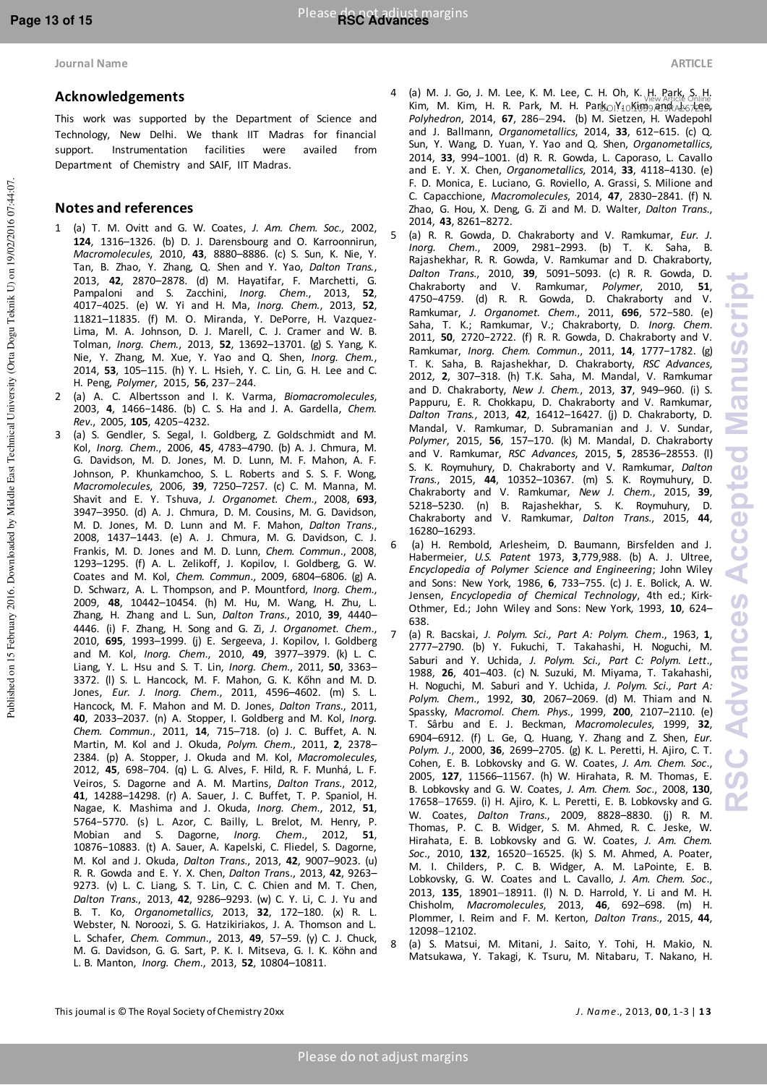Published on 15 February 2016. Downloaded by Middle East Technical University (Orta Dogu Teknik U) on 19/02/2016 07:44:07. Published on 15 February 2016. Downloaded by Middle East Technical University (Orta Dogu Teknik U) on 19/02/2016 07:44:07

**Acknowledgements**  This work was supported by the Department of Science and Technology, New Delhi. We thank IIT Madras for financial

Department of Chemistry and SAIF, IIT Madras.

#### **Notes and references**

1 (a) T. M. Ovitt and G. W. Coates, *J. Am. Chem. Soc.,* 2002, **124**, 1316–1326. ([b\) D. J. Darensbourg](http://pubs.acs.org/action/doSearch?ContribStored=Darensbourg%2C+D+J) and [O. Karroonnirun,](http://pubs.acs.org/action/doSearch?ContribStored=Karroonnirun%2C+O) *Macromolecules*, 2010, **43**, 8880–8886. (c) S. Sun, K. Nie, Y. Tan, B. Zhao, Y. Zhang, Q. Shen and Y. Yao, *[Dalton Trans.](http://dx.doi.org/10.1039/1477-9234/2003)*, 2013, **42**, 2870–2878. (d) M. Hayatifar, F. Marchetti, G. Pampaloni and S. Zacchini, *Inorg. Chem*., 2013, **52**, 4017−4025. (e) W. Yi and H. Ma, *Inorg. Chem.*, 2013, **52**, 11821–11835. (f) M. O. [Miranda,](http://pubs.acs.org/action/doSearch?ContribStored=Miranda%2C+M+O) Y[. DePorre,](http://pubs.acs.org/action/doSearch?ContribStored=DePorre%2C+Y) H. [Vazquez-](http://pubs.acs.org/action/doSearch?ContribStored=Vazquez-Lima%2C+H)[Lima,](http://pubs.acs.org/action/doSearch?ContribStored=Vazquez-Lima%2C+H) M. A. [Johnson,](http://pubs.acs.org/action/doSearch?ContribStored=Johnson%2C+M+A) D. J. [Marell,](http://pubs.acs.org/action/doSearch?ContribStored=Marell%2C+D+J) C. J[. Cramer](http://pubs.acs.org/action/doSearch?ContribStored=Cramer%2C+C+J) and W. B. [Tolman,](http://pubs.acs.org/action/doSearch?ContribStored=Tolman%2C+W+B) *Inorg. Chem.*, 2013, **52**, 13692–13701. (g) S[. Yang,](http://pubs.acs.org/action/doSearch?ContribStored=Yang%2C+S) K. [Nie,](http://pubs.acs.org/action/doSearch?ContribStored=Nie%2C+K) Y. [Zhang,](http://pubs.acs.org/action/doSearch?ContribStored=Zhang%2C+Y) M. [Xue,](http://pubs.acs.org/action/doSearch?ContribStored=Xue%2C+M) Y. [Yao](http://pubs.acs.org/action/doSearch?ContribStored=Yao%2C+Y) and Q[. Shen,](http://pubs.acs.org/action/doSearch?ContribStored=Shen%2C+Q) *Inorg. Chem.*, 2014, **53**, 105–115. (h) Y. L. Hsieh, Y. C. Lin, G. H. Lee and C. H. Peng, *Polymer*, 2015, 56, 237-244.

support. Instrumentation facilities were availed from

- 2 (a) A. C. Albertsson and I. K. Varma, *Biomacromolecules*, 2003, **4**, 1466−1486. (b) C. S. Ha and J. A. Gardella, *Chem. Rev*., 2005, **105**, 4205−4232.
- 3 (a) S. Gendler, S. Segal, I. Goldberg, Z. Goldschmidt and M. Kol, *Inorg. Chem*., 2006, **45**, 4783–4790. (b) A. J. Chmura, M. G. Davidson, M. D. Jones, M. D. Lunn, M. F. Mahon, A. F. Johnson, P. Khunkamchoo, S. L. Roberts and S. S. F. Wong, *Macromolecules*, 2006, **39**, 7250–7257. (c) C. M. Manna, M. Shavit and E. Y. Tshuva, *J. Organomet. Chem*., 2008, **693**, 3947–3950. (d) A. J. Chmura, D. M. Cousins, M. G. Davidson, M. D. Jones, M. D. Lunn and M. F. Mahon, *Dalton Trans*., 2008, 1437–1443. (e) A. J. Chmura, M. G. Davidson, C. J. Frankis, M. D. Jones and M. D. Lunn, *Chem. Commun*., 2008, 1293–1295. (f) A. L. Zelikoff, J. Kopilov, I. Goldberg, G. W. Coates and M. Kol, *Chem. Commun*., 2009, 6804–6806. (g) A. D. Schwarz, A. L. Thompson, and P. Mountford, *Inorg. Chem*., 2009, **48**, 10442–10454. (h) M. Hu, M. Wang, H. Zhu, L. Zhang, H. Zhang and L. Sun, *Dalton Trans*., 2010, **39**, 4440– 4446. (i) F. Zhang, H. Song and G. Zi, *J. Organomet. Chem*., 2010, **695**, 1993–1999. (j) E. Sergeeva, J. Kopilov, I. Goldberg and M. Kol, *Inorg. Chem*., 2010, **49**, 3977–3979. (k) L. C. Liang, Y. L. Hsu and S. T. Lin, *Inorg. Chem*., 2011, **50**, 3363– 3372. (l) S. L. Hancock, M. F. Mahon, G. K. Kőhn and M. D. Jones, *Eur. J. Inorg. Chem*., 2011, 4596–4602. (m) S. L. Hancock, M. F. Mahon and M. D. Jones, *Dalton Trans*., 2011, **40**, 2033–2037. (n) A. Stopper, I. Goldberg and M. Kol, *Inorg. Chem. Commun*., 2011, **14**, 715–718. (o) J. C. [Buffet,](http://pubs.rsc.org/en/results?searchtext=Author%3AJean-Charles%20Buffet) A. N. [Martin,](http://pubs.rsc.org/en/results?searchtext=Author%3AAshley%20N.%20Martin) M. [Kol](http://pubs.rsc.org/en/results?searchtext=Author%3AMoshe%20Kol) and J[. Okuda,](http://pubs.rsc.org/en/results?searchtext=Author%3AJun%20Okuda) *Polym. Chem*., 2011, **2**, 2378– 2384. (p) A. Stopper, J. Okuda and M. Kol, *Macromolecules*, 2012, **45**, 698−704. (q) L. G. Alves, F. Hild, R. F. Munhá, L. F. Veiros, S. Dagorne and A. M. Martins, *Dalton Trans*., 2012, **41**, 14288–14298. (r) A. Sauer, J. C. Buffet, T. P. Spaniol, H. Nagae, K. Mashima and J. Okuda, *Inorg. Chem*., 2012, **51**, 5764−5770. (s) L. Azor, C. Bailly, L. Brelot, M. Henry, P. Mobian and S. Dagorne, *Inorg. Chem*., 2012, **51**, 10876−10883. (t) A. Sauer, A. Kapelski, C. Fliedel, S. Dagorne, M. Kol and J. Okuda, *Dalton Trans*., 2013, **42**, 9007–9023. (u) [R. R. Gowda](http://pubs.rsc.org/en/results?searchtext=Author%3ARavikumar%20R.%20Gowda) and E. Y. X. [Chen](http://pubs.rsc.org/en/results?searchtext=Author%3AEugene%20Y.-X.%20Chen), *Dalton Tran*s., 2013, **42**, 9263– 9273. (v) L. C. Liang, S. T. Lin, C. C. Chien and M. T. Chen, *Dalton Trans*., 2013, **42**, 9286–9293. (w) [C. Y. Li,](http://pubs.acs.org/action/doSearch?action=search&author=Li%2C+Chen%5C-Yu&qsSearchArea=author) C. J. [Yu](http://pubs.acs.org/action/doSearch?action=search&author=Yu%2C+Chia%5C-Jung&qsSearchArea=author) and B. T. [Ko,](http://pubs.acs.org/action/doSearch?action=search&author=Ko%2C+Bao%5C-Tsan&qsSearchArea=author) *Organometallics*, 2013, **32**, 172–180. (x) R. L. Webster, N. Noroozi, S. G. Hatzikiriakos, J. A. Thomson and L. L. Schafer, *Chem. Commun*., 2013, **49**, 57–59. (y) C. J[. Chuck,](http://pubs.acs.org/action/doSearch?action=search&author=Chuck%2C+C+J&qsSearchArea=author) M. G. [Davidson,](http://pubs.acs.org/action/doSearch?action=search&author=Davidson%2C+M+G&qsSearchArea=author) G. G. [Sart,](http://pubs.acs.org/action/doSearch?action=search&author=Gobius+du+Sart%2C+G&qsSearchArea=author) P. K. I[. Mitseva,](http://pubs.acs.org/action/doSearch?action=search&author=Ivanova%5C-Mitseva%2C+P+K&qsSearchArea=author) G. I. K[. Köhn](http://pubs.acs.org/action/doSearch?action=search&author=Kociok%5C-K%C3%B6hn%2C+G+I&qsSearchArea=author) and L. B. [Manton,](http://pubs.acs.org/action/doSearch?action=search&author=Manton%2C+L+B&qsSearchArea=author) *Inorg. Chem*., 2013, **52**, 10804–10811.
- 4 (a) M. J. Go, J. M. Lee, K. M. Lee, C. H. Oh, K. H. Park, S. H. **Kim, M. Kim, H. R. Park, M. H. Park**<sub>Ol</sub>y and J. *Lee, Article Online Polyhedron*, 2014, 67, 286-294. (b) M. Sietzen, H. Wadepohl and J. Ballmann, *Organometallics*, 2014, **33**, 612−615. (c) Q. Sun, Y. Wang, D. Yuan, Y. Yao and Q. Shen, *Organometallics*, 2014, **33**, 994−1001. (d) R. R. Gowda, L. Caporaso, L. Cavallo and E. Y. X. Chen, *Organometallics*, 2014, **33**, 4118−4130. (e) F. D. Monica, E. Luciano, G. Roviello, A. Grassi, S. Milione and C. Capacchione, *Macromolecules*, 2014, **47**, 2830−2841. (f) N. Zhao, G. Hou, X. Deng, G. Zi and M. D. Walter, *Dalton Trans*., 2014, **43**, 8261–8272.
- 5 (a) R. R. Gowda, D. Chakraborty and V. Ramkumar, *Eur. J. Inorg. Chem*., 2009, 2981−2993. (b) T. K. Saha, B. Rajashekhar, R. R. Gowda, V. Ramkumar and D. Chakraborty, *Dalton Trans*., 2010, **39**, 5091−5093. (c) R. R. Gowda, D. Chakraborty and V. Ramkumar, *Polymer*, 2010, **51**, 4750−4759. (d) R. R. Gowda, D. Chakraborty and V. Ramkumar, *J. Organomet. Chem*., 2011, **696**, 572−580. (e) Saha, T. K.; Ramkumar, V.; Chakraborty, D. *Inorg. Chem*. 2011, **50**, 2720−2722. (f) R. R. Gowda, D. Chakraborty and V. Ramkumar, *Inorg. Chem. Commun*., 2011, **14**, 1777−1782. (g) T. K. Saha, B. Rajashekhar, D. Chakraborty, *RSC Advances*, 2012, **2**, 307–318. (h) T.K. Saha, M. Mandal, V. Ramkumar and D. Chakraborty, *New J. Chem.*, 2013, **37**, 949–960. (i) S. Pappuru, E. R. Chokkapu, D. Chakraborty and V. Ramkumar*, Dalton Trans.*, 2013, **42**, 16412–16427. (j) D. Chakraborty, D. Mandal, V. Ramkumar, D. Subramanian and J. V. Sundar, *Polymer*, 2015, **56**, 157–170. (k) M. Mandal, D. Chakraborty and V. Ramkumar, *RSC Advances*, 2015, **5**, 28536–28553. (l) S. K. Roymuhury, D. Chakraborty and V. Ramkumar, *Dalton Trans*., 2015, **44**, 10352–10367. (m) S. K. Roymuhury, D. Chakraborty and V. Ramkumar, *New J. Chem*., 2015, **39**, 5218–5230. (n) B. Rajashekhar, S. K. Roymuhury, D. Chakraborty and V. Ramkumar, *Dalton Trans*., 2015, **44**, 16280–16293.
- 6 (a) H. Rembold, Arlesheim, D. Baumann, Birsfelden and J. Habermeier, *U.S. Patent* 1973, **3**,779,988. (b) A. J. Ultree, *Encyclopedia of Polymer Science and Engineering*; John Wiley and Sons: New York, 1986, **6**, 733–755. (c) J. E. Bolick, A. W. Jensen, *Encyclopedia of Chemical Technology*, 4th ed.; Kirk-Othmer, Ed.; John Wiley and Sons: New York, 1993, **10**, 624– 638.
- 7 (a) R. Bacskai, *J. Polym. Sci., Part A: Polym. Chem*., 1963, **1**, 2777–2790. (b) Y. Fukuchi, T. Takahashi, H. Noguchi, M. Saburi and Y. Uchida, *J. Polym. Sci., Part C: Polym. Lett*., 1988, **26**, 401–403. (c) N. Suzuki, M. Miyama, T. Takahashi, H. Noguchi, M. Saburi and Y. Uchida, *J. Polym. Sci., Part A: Polym. Chem*., 1992, **30**, 2067–2069. (d) M. Thiam and N. Spassky, *Macromol. Chem. Phys*., 1999, **200**, 2107–2110. (e) T. Sârbu and E. J. Beckman, *Macromolecules*, 1999, **32**, 6904–6912. (f) L. Ge, Q. Huang, Y. Zhang and Z. Shen, *Eur. Polym. J*., 2000, **36**, 2699–2705. (g) K. L. Peretti, H. Ajiro, C. T. Cohen, E. B. Lobkovsky and G. W. Coates, *J. Am. Chem. Soc*., 2005, **127**, 11566–11567. (h) W. Hirahata, R. M. Thomas, E. B. Lobkovsky and G. W. Coates, *J. Am. Chem. Soc*., 2008, **130**, 17658-17659. (i) H. Ajiro, K. L. Peretti, E. B. Lobkovsky and G. W. Coates, *Dalton Trans*., 2009, 8828–8830. (j) R. M. Thomas, P. C. B. Widger, S. M. Ahmed, R. C. Jeske, W. Hirahata, E. B. Lobkovsky and G. W. Coates, *J. Am. Chem. Soc.*, 2010, 132, 16520-16525. (k) S. M. Ahmed, A. Poater, M. I. Childers, P. C. B. Widger, A. M. LaPointe, E. B. Lobkovsky, G. W. Coates and L. Cavallo, *J. Am. Chem. Soc*., 2013, 135, 18901-18911. (I) N. D. Harrold, Y. Li and M. H. Chisholm, *Macromolecules*, 2013, **46**, 692–698. (m) H. Plommer, I. Reim and F. M. Kerton, *Dalton Trans*., 2015, **44**, 12098-12102.
- 8 (a) S. [Matsui,](http://pubs.acs.org/action/doSearch?ContribStored=Matsui%2C+S) M. [Mitani,](http://pubs.acs.org/action/doSearch?ContribStored=Mitani%2C+M) J. [Saito,](http://pubs.acs.org/action/doSearch?ContribStored=Saito%2C+J) Y. [Tohi,](http://pubs.acs.org/action/doSearch?ContribStored=Tohi%2C+Y) H. [Makio,](http://pubs.acs.org/action/doSearch?ContribStored=Makio%2C+H) N. [Matsukawa,](http://pubs.acs.org/action/doSearch?ContribStored=Matsukawa%2C+N) Y. [Takagi,](http://pubs.acs.org/action/doSearch?ContribStored=Takagi%2C+Y) K. [Tsuru,](http://pubs.acs.org/action/doSearch?ContribStored=Tsuru%2C+K) M[. Nitabaru,](http://pubs.acs.org/action/doSearch?ContribStored=Nitabaru%2C+M) T[. Nakano,](http://pubs.acs.org/action/doSearch?ContribStored=Nakano%2C+T) H.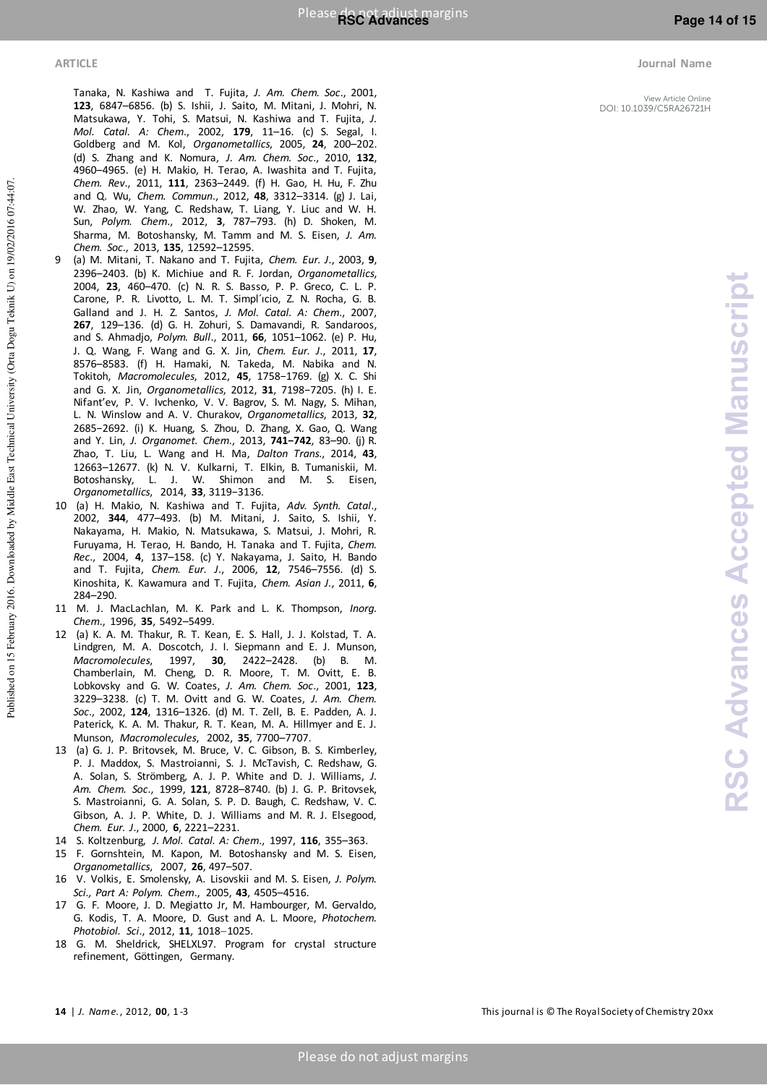**RSC Advances Accepted Manuscript**

**RSC Advances Accepted Manuscript** 

View Article Online DOI: 10.1039/C5RA26721H

#### J. Q. Wang, F. Wang and G. X. Jin, *Chem. Eur. J*., 2011, **17**, 8576–8583. (f) H. Hamaki, N. Takeda, M. Nabika and N. Tokitoh, *Macromolecules*, 2012, **45**, 1758−1769. (g) X. C. Shi and G. X. Jin, *Organometallics*, 2012, **31**, 7198−7205. (h) I. E. Nifant'ev, P. V. Ivchenko, V. V. Bagrov, S. M. Nagy, S. Mihan, L. N. Winslow and A. V. Churakov, *Organometallics*, 2013, **32**, 2685−2692. (i) K. Huang, S. Zhou, D. Zhang, X. Gao, Q. Wang and Y. Lin, *J. Organomet. Chem*., 2013, **741−742**, 83–90. (j) R. Zhao, T. Liu, L. Wang and H. Ma, *Dalton Trans*., 2014, **43**, 12663–12677. (k) N. V. Kulkarni, T. Elkin, B. Tumaniskii, M. Botoshansky, L. J. W. Shimon and M. S. Eisen, *Organometallics*, 2014, **33**, 3119−3136. 10 (a) H. Makio, N. Kashiwa and T. Fujita, *Adv. Synth. Catal*., 2002, **344**, 477–493. (b) M. Mitani, J. Saito, S. Ishii, Y. Nakayama, H. Makio, N. Matsukawa, S. Matsui, J. Mohri, R. Furuyama, H. Terao, H. Bando, H. Tanaka and T. Fujita, *Chem. Rec*., 2004, **4**, 137–158. (c) Y. Nakayama, J. Saito, H. Bando and T. Fujita, *Chem. Eur. J*., 2006, **12**, 7546–7556. (d) S.

*Chem. Soc*., 2013, **135**, 12592–12595.

Kinoshita, K. Kawamura and T. Fujita, *Chem. Asian J.*, 2011, **6**, 284–290. 11 M. J. MacLachlan, M. K. Park and L. K. Thompson, *Inorg. Chem*., 1996, **35**, 5492–5499.

[Tanaka,](http://pubs.acs.org/action/doSearch?ContribStored=Tanaka%2C+H) N. [Kashiwa](http://pubs.acs.org/action/doSearch?ContribStored=Kashiwa%2C+N) and [T. Fujita,](http://pubs.acs.org/action/doSearch?ContribStored=Fujita%2C+T) *J. Am. Chem. Soc*., 2001, **123**, 6847–6856. (b) S. Ishii, J. Saito, M. Mitani, J. Mohri, N. Matsukawa, Y. Tohi, S. Matsui, N. Kashiwa and T. Fujita, *J. Mol. Catal. A: Chem*., 2002, **179**, 11–16. (c) S. [Segal,](http://pubs.acs.org/action/doSearch?ContribStored=Segal%2C+S) I. [Goldberg](http://pubs.acs.org/action/doSearch?ContribStored=Goldberg%2C+I) and M. [Kol,](http://pubs.acs.org/action/doSearch?ContribStored=Kol%2C+M) *Organometallics*, 2005, **24**, 200–202. (d) S. Zhang and K. Nomura, *J. Am. Chem. Soc*., 2010, **132**, 4960–4965. (e) H. Makio, H. Terao, A. Iwashita and T. Fujita, *Chem. Rev*., 2011, **111**, 2363–2449. (f) H. Gao, H. Hu, F. Zhu and Q. Wu, *Chem. Commun*., 2012, **48**, 3312–3314. (g) J. Lai, W. Zhao, W. Yang, C. Redshaw, T. Liang, Y. Liuc and W. H. Sun, *Polym. Chem*., 2012, **3**, 787–793. (h) D. Shoken, M. Sharma, M. Botoshansky, M. Tamm and M. S. Eisen, *J. Am.* 

9 (a) M. Mitani, T. Nakano and T. Fujita, *Chem. Eur. J*., 2003, **9**, 2396–2403. (b) K. Michiue and R. F. Jordan, *Organometallics*, 2004, **23**, 460–470. (c) N. R. S. Basso, P. P. Greco, C. L. P. Carone, P. R. Livotto, L. M. T. Simpl´ıcio, Z. N. Rocha, G. B. Galland and J. H. Z. Santos, *J. Mol. Catal. A: Chem*., 2007, **267**, 129–136. (d) G. H. Zohuri, S. Damavandi, R. Sandaroos, and S. Ahmadjo, *Polym. Bull*., 2011, **66**, 1051–1062. (e) P. Hu,

- 12 (a) K. A. M. Thakur, R. T. Kean, E. S. Hall, J. J. Kolstad, T. A. Lindgren, M. A. Doscotch, J. I. Siepmann and E. J. Munson, *Macromolecules*, 1997, **30**, 2422–2428. (b) B. M. Chamberlain, M. Cheng, D. R. Moore, T. M. Ovitt, E. B. Lobkovsky and G. W. Coates, *J. Am. Chem. Soc*., 2001, **123**, 3229–3238. (c) T. M. Ovitt and G. W. Coates, *J. Am. Chem. Soc*., 2002, **124**, 1316–1326. (d) M. T. Zell, B. E. Padden, A. J. Paterick, K. A. M. Thakur, R. T. Kean, M. A. Hillmyer and E. J. Munson, *Macromolecules*, 2002, **35**, 7700–7707.
- 13 (a) G. J. P[. Britovsek,](http://pubs.acs.org/action/doSearch?ContribStored=Britovsek%2C+G+J+P) M[. Bruce,](http://pubs.acs.org/action/doSearch?ContribStored=Bruce%2C+M) V. C[. Gibson,](http://pubs.acs.org/action/doSearch?ContribStored=Gibson%2C+V+C) B. S[. Kimberley,](http://pubs.acs.org/action/doSearch?ContribStored=Kimberley%2C+B+S) P. J[. Maddox,](http://pubs.acs.org/action/doSearch?ContribStored=Maddox%2C+P+J) S[. Mastroianni,](http://pubs.acs.org/action/doSearch?ContribStored=Mastroianni%2C+S) S. [J. McTavish](http://pubs.acs.org/action/doSearch?ContribStored=McTavish%2C+S+J), [C. Redshaw,](http://pubs.acs.org/action/doSearch?ContribStored=Redshaw%2C+C) G. A. [Solan,](http://pubs.acs.org/action/doSearch?ContribStored=Solan%2C+G+A) S. [Strömberg,](http://pubs.acs.org/action/doSearch?ContribStored=Str%C3%B6mberg%2C+S) A. J. P. [White](http://pubs.acs.org/action/doSearch?ContribStored=White%2C+A+J+P) and D. J. [Williams,](http://pubs.acs.org/action/doSearch?ContribStored=Williams%2C+D+J) *J. Am. Chem. Soc*., 1999, **121**, 8728–8740. (b) J. G. P. Britovsek, S. Mastroianni, G. A. Solan, S. P. D. Baugh, C. Redshaw, V. C. Gibson, A. J. P. White, D. J. Williams and M. R. J. Elsegood, *Chem. Eur. J*., 2000, **6**, 2221–2231.
- 14 S. Koltzenburg, *J. Mol. Catal. A: Chem*., 1997, **116**, 355–363.
- 15 F. Gornshtein, M. Kapon, M. Botoshansky and M. S. Eisen, *Organometallics*, 2007, **26**, 497–507.
- 16 V. Volkis, E. Smolensky, A. Lisovskii and M. S. Eisen, *J. Polym. Sci., Part A: Polym. Chem*., 2005, **43**, 4505–4516.
- 17 G. F. Moore, J. D. Megiatto Jr, M. Hambourger, M. Gervaldo, G. Kodis, T. A. Moore, D. Gust and A. L. Moore, *Photochem. Photobiol. Sci.,* 2012, 11, 1018-1025.
- 18 G. M. Sheldrick, SHELXL97. Program for crystal structure refinement, Göttingen, Germany.

**14** | *J. Nam e*., 2012, **00**, 1 -3 This journal is © The Royal Society of Chemistry 20xx